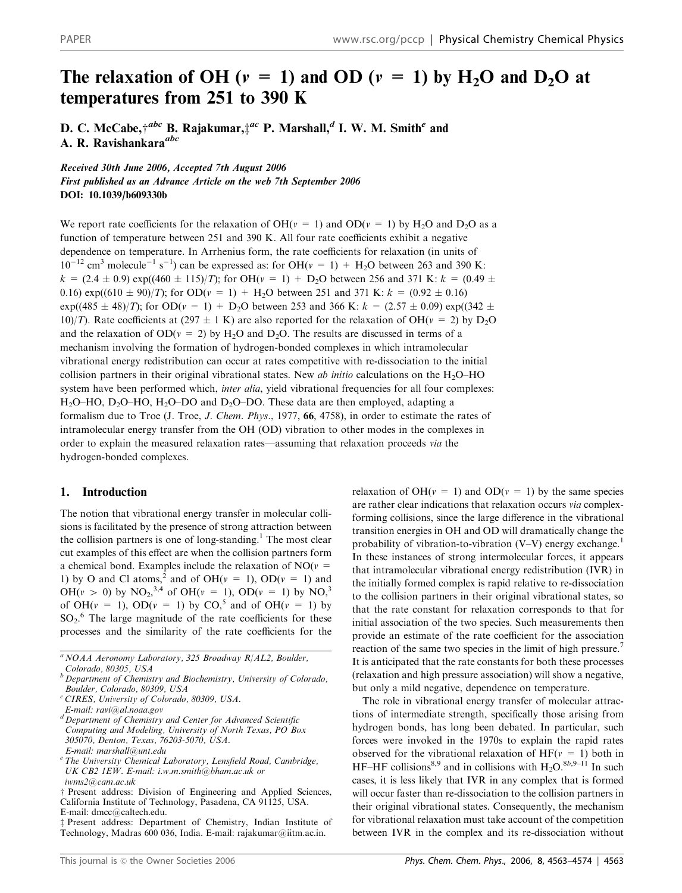# The relaxation of OH ( $v = 1$ ) and OD ( $v = 1$ ) by H<sub>2</sub>O and D<sub>2</sub>O at temperatures from 251 to 390 K

D. C. McCabe, $\dot{\tau}^{abc}$  B. Rajakumar, $\dot{\tau}^{ac}$  P. Marshall, $^d$  I. W. M. Smith $^e$  and A. R. Ravishankara<sup>abc</sup> A. R. Ravishankara<sup>abc</sup>

Received 30th June 2006, Accepted 7th August 2006 First published as an Advance Article on the web 7th September 2006 DOI: 10.1039/b609330b

We report rate coefficients for the relaxation of OH( $v = 1$ ) and OD( $v = 1$ ) by H<sub>2</sub>O and D<sub>2</sub>O as a function of temperature between 251 and 390 K. All four rate coefficients exhibit a negative dependence on temperature. In Arrhenius form, the rate coefficients for relaxation (in units of  $10^{-12}$  cm<sup>3</sup> molecule<sup>-1</sup> s<sup>-1</sup>) can be expressed as: for OH( $v = 1$ ) + H<sub>2</sub>O between 263 and 390 K:  $k = (2.4 \pm 0.9) \exp((460 \pm 115)/T)$ ; for OH( $v = 1$ ) + D<sub>2</sub>O between 256 and 371 K:  $k = (0.49 \pm 0.49)$ 0.16) exp((610  $\pm$  90)/T); for OD( $v = 1$ ) + H<sub>2</sub>O between 251 and 371 K:  $k = (0.92 \pm 0.16)$  $\exp((485 \pm 48)/T)$ ; for OD( $v = 1$ ) + D<sub>2</sub>O between 253 and 366 K:  $k = (2.57 \pm 0.09) \exp((342 \pm 0.09) \times 10^{-10})$ 10)/T). Rate coefficients at (297  $\pm$  1 K) are also reported for the relaxation of OH( $v = 2$ ) by D<sub>2</sub>O and the relaxation of  $OD(v = 2)$  by H<sub>2</sub>O and D<sub>2</sub>O. The results are discussed in terms of a mechanism involving the formation of hydrogen-bonded complexes in which intramolecular vibrational energy redistribution can occur at rates competitive with re-dissociation to the initial collision partners in their original vibrational states. New *ab initio* calculations on the  $H_2O$ –HO system have been performed which, inter alia, yield vibrational frequencies for all four complexes: H<sub>2</sub>O–HO, D<sub>2</sub>O–HO, H<sub>2</sub>O–DO and D<sub>2</sub>O–DO. These data are then employed, adapting a formalism due to Troe (J. Troe, J. Chem. Phys., 1977, 66, 4758), in order to estimate the rates of intramolecular energy transfer from the OH (OD) vibration to other modes in the complexes in order to explain the measured relaxation rates—assuming that relaxation proceeds via the hydrogen-bonded complexes.

## 1. Introduction

The notion that vibrational energy transfer in molecular collisions is facilitated by the presence of strong attraction between the collision partners is one of long-standing.<sup>1</sup> The most clear cut examples of this effect are when the collision partners form a chemical bond. Examples include the relaxation of  $NO(v =$ 1) by O and Cl atoms,<sup>2</sup> and of OH( $v = 1$ ), OD( $v = 1$ ) and  $OH(v > 0)$  by  $NO_2$ <sup>3,4</sup> of  $OH(v = 1)$ ,  $OD(v = 1)$  by  $NO_2^3$ of OH( $v = 1$ ), OD( $v = 1$ ) by CO,<sup>5</sup> and of OH( $v = 1$ ) by  $SO_2$ <sup>6</sup>. The large magnitude of the rate coefficients for these processes and the similarity of the rate coefficients for the relaxation of  $OH(v = 1)$  and  $OD(v = 1)$  by the same species are rather clear indications that relaxation occurs via complexforming collisions, since the large difference in the vibrational transition energies in OH and OD will dramatically change the probability of vibration-to-vibration  $(V-V)$  energy exchange.<sup>1</sup> In these instances of strong intermolecular forces, it appears that intramolecular vibrational energy redistribution (IVR) in the initially formed complex is rapid relative to re-dissociation to the collision partners in their original vibrational states, so that the rate constant for relaxation corresponds to that for initial association of the two species. Such measurements then provide an estimate of the rate coefficient for the association reaction of the same two species in the limit of high pressure.<sup>7</sup> It is anticipated that the rate constants for both these processes (relaxation and high pressure association) will show a negative, but only a mild negative, dependence on temperature.

The role in vibrational energy transfer of molecular attractions of intermediate strength, specifically those arising from hydrogen bonds, has long been debated. In particular, such forces were invoked in the 1970s to explain the rapid rates observed for the vibrational relaxation of  $HF(v = 1)$  both in HF–HF collisions<sup>8,9</sup> and in collisions with H<sub>2</sub>O.<sup>8b,9–11</sup> In such cases, it is less likely that IVR in any complex that is formed will occur faster than re-dissociation to the collision partners in their original vibrational states. Consequently, the mechanism for vibrational relaxation must take account of the competition between IVR in the complex and its re-dissociation without

 $^{a}$  NOAA Aeronomy Laboratory, 325 Broadway R/AL2, Boulder, Colorado, 80305, USA

<sup>b</sup> Department of Chemistry and Biochemistry, University of Colorado, Boulder, Colorado, 80309, USA

<sup>&</sup>lt;sup>c</sup> CIRES, University of Colorado, 80309, USA.

E-mail: ravi@al.noaa.gov

<sup>d</sup> Department of Chemistry and Center for Advanced Scientific Computing and Modeling, University of North Texas, PO Box 305070, Denton, Texas, 76203-5070, USA. E-mail: marshall@unt.edu

<sup>&</sup>lt;sup>e</sup> The University Chemical Laboratory, Lensfield Road, Cambridge, UK CB2 1EW. E-mail: i.w.m.smith@bham.ac.uk or iwms2@cam.ac.uk

<sup>†</sup> Present address: Division of Engineering and Applied Sciences, California Institute of Technology, Pasadena, CA 91125, USA. E-mail: dmcc@caltech.edu.

Present address: Department of Chemistry, Indian Institute of Technology, Madras 600 036, India. E-mail: rajakumar@iitm.ac.in.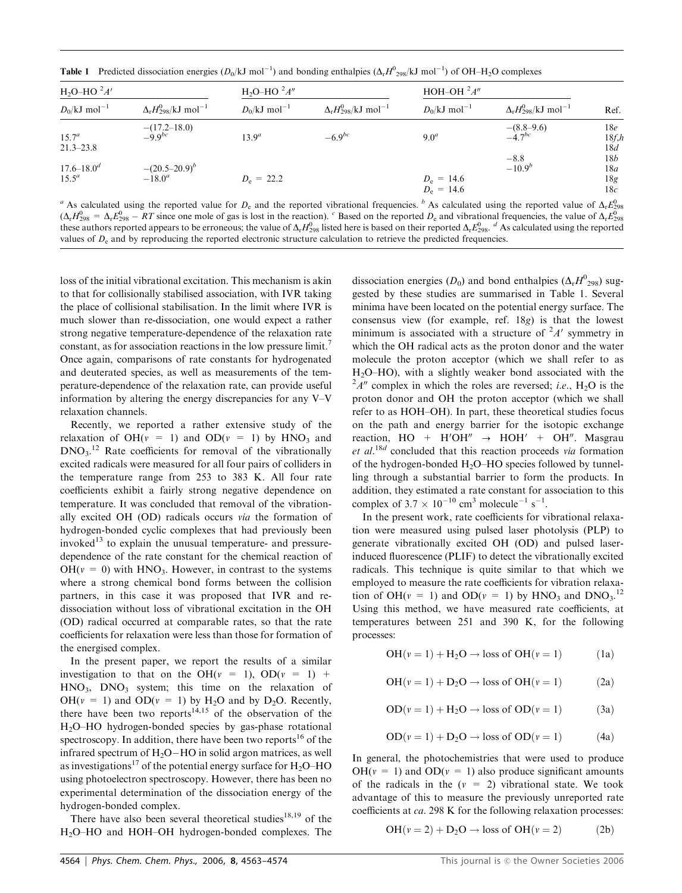**Table 1** Predicted dissociation energies  $(D_0/kJ \text{ mol}^{-1})$  and bonding enthalpies  $(\Delta_r H^0{}_{298}/kJ \text{ mol}^{-1})$  of OH-H<sub>2</sub>O complexes

| $H_2O-HO^2A'$               |                                                         | $H_2O-HO^2A''$             |                                                           |                              | HOH-OH $2A''$                             |                                  |  |
|-----------------------------|---------------------------------------------------------|----------------------------|-----------------------------------------------------------|------------------------------|-------------------------------------------|----------------------------------|--|
| $D_0/kJ$ mol <sup>-1</sup>  | $\Delta_r H_{\rm 298}^{\rm 0}/\rm kJ$ mol <sup>-1</sup> | $D_0/kJ$ mol <sup>-1</sup> | $\Delta_{\rm r}H_{298}^{0}/\mathrm{kJ}$ mol <sup>-1</sup> | $D_0/kJ$ mol <sup>-1</sup>   | $\Delta_r H_{298}^0/kJ$ mol <sup>-1</sup> | Ref.                             |  |
| $15.7^a$<br>$21.3 - 23.8$   | $-(17.2-18.0)$<br>-9.9 <sup>bc</sup>                    | $13.9^{a}$                 | $-6.9^{bc}$                                               | 9.0 <sup>a</sup>             | $-(8.8-9.6)$<br>-4.7 <sup>bc</sup>        | 18e<br>18f, h<br>18d             |  |
| $17.6 - 18.0^d$<br>$15.5^a$ | $-(20.5-20.9)^b$<br>$-18.0^a$                           | $D_e = 22.2$               |                                                           | $D_e = 14.6$<br>$D_e = 14.6$ | $-8.8$<br>$-10.9b$                        | 18 <i>b</i><br>18a<br>18g<br>18c |  |

<sup>a</sup> As calculated using the reported value for  $D_e$  and the reported vibrational frequencies. <sup>b</sup> As calculated using the reported value of  $\Delta_r E_{298}^0$  $(\Delta_r H_{298}^0 = \Delta_r E_{298}^0 - RT$  since one mole of gas is lost in the reaction). <sup>c</sup> Based on the reported  $D_e$  and vibrational frequencies, the value of  $\Delta_r E_{298}^0$ these authors reported appears to be erroneous; the value of  $\Delta_r H_{298}^0$  listed here is based on their reported  $\Delta_r E_{298}^0$ .  $^d$  As calculated using the reported values of  $D<sub>e</sub>$  and by reproducing the reported electronic structure calculation to retrieve the predicted frequencies.

loss of the initial vibrational excitation. This mechanism is akin to that for collisionally stabilised association, with IVR taking the place of collisional stabilisation. In the limit where IVR is much slower than re-dissociation, one would expect a rather strong negative temperature-dependence of the relaxation rate constant, as for association reactions in the low pressure limit.<sup>7</sup> Once again, comparisons of rate constants for hydrogenated and deuterated species, as well as measurements of the temperature-dependence of the relaxation rate, can provide useful information by altering the energy discrepancies for any V–V relaxation channels.

Recently, we reported a rather extensive study of the relaxation of  $OH(v = 1)$  and  $OD(v = 1)$  by  $HNO<sub>3</sub>$  and  $DNO<sub>3</sub>$ .<sup>12</sup> Rate coefficients for removal of the vibrationally excited radicals were measured for all four pairs of colliders in the temperature range from 253 to 383 K. All four rate coefficients exhibit a fairly strong negative dependence on temperature. It was concluded that removal of the vibrationally excited OH (OD) radicals occurs via the formation of hydrogen-bonded cyclic complexes that had previously been invoked $^{13}$  to explain the unusual temperature- and pressuredependence of the rate constant for the chemical reaction of  $OH(v = 0)$  with  $HNO<sub>3</sub>$ . However, in contrast to the systems where a strong chemical bond forms between the collision partners, in this case it was proposed that IVR and redissociation without loss of vibrational excitation in the OH (OD) radical occurred at comparable rates, so that the rate coefficients for relaxation were less than those for formation of the energised complex.

In the present paper, we report the results of a similar investigation to that on the OH( $v = 1$ ), OD( $v = 1$ ) +  $HNO<sub>3</sub>$ ,  $DNO<sub>3</sub>$  system; this time on the relaxation of OH( $v = 1$ ) and OD( $v = 1$ ) by H<sub>2</sub>O and by D<sub>2</sub>O. Recently, there have been two reports $14,15$  of the observation of the H2O–HO hydrogen-bonded species by gas-phase rotational spectroscopy. In addition, there have been two reports<sup>16</sup> of the infrared spectrum of  $H_2O-HO$  in solid argon matrices, as well as investigations<sup>17</sup> of the potential energy surface for  $H_2O-HO$ using photoelectron spectroscopy. However, there has been no experimental determination of the dissociation energy of the hydrogen-bonded complex.

There have also been several theoretical studies $18,19$  of the H2O–HO and HOH–OH hydrogen-bonded complexes. The dissociation energies ( $D_0$ ) and bond enthalpies ( $\Delta_f H^0$ <sub>298</sub>) suggested by these studies are summarised in Table 1. Several minima have been located on the potential energy surface. The consensus view (for example, ref. 18g) is that the lowest minimum is associated with a structure of  $A'$  symmetry in which the OH radical acts as the proton donor and the water molecule the proton acceptor (which we shall refer to as  $H<sub>2</sub>O-HO$ , with a slightly weaker bond associated with the  $A^2A''$  complex in which the roles are reversed; *i.e.*, H<sub>2</sub>O is the proton donor and OH the proton acceptor (which we shall refer to as HOH–OH). In part, these theoretical studies focus on the path and energy barrier for the isotopic exchange reaction,  $HO + H'OH'' \rightarrow HOH' + OH''$ . Masgrau et al.<sup>18d</sup> concluded that this reaction proceeds via formation of the hydrogen-bonded  $H_2O$ – $HO$  species followed by tunnelling through a substantial barrier to form the products. In addition, they estimated a rate constant for association to this complex of  $3.7 \times 10^{-10}$  cm<sup>3</sup> molecule<sup>-1</sup> s<sup>-1</sup>.

In the present work, rate coefficients for vibrational relaxation were measured using pulsed laser photolysis (PLP) to generate vibrationally excited OH (OD) and pulsed laserinduced fluorescence (PLIF) to detect the vibrationally excited radicals. This technique is quite similar to that which we employed to measure the rate coefficients for vibration relaxation of OH( $v = 1$ ) and OD( $v = 1$ ) by HNO<sub>3</sub> and DNO<sub>3</sub>.<sup>12</sup> Using this method, we have measured rate coefficients, at temperatures between 251 and 390 K, for the following processes:

$$
OH(v = 1) + H_2O \rightarrow loss of OH(v = 1)
$$
 (1a)

$$
OH(v = 1) + D_2O \rightarrow loss of OH(v = 1)
$$
 (2a)

$$
OD(v = 1) + H_2O \rightarrow loss of OD(v = 1)
$$
 (3a)

$$
OD(v = 1) + D2O \rightarrow loss of OD(v = 1)
$$
 (4a)

In general, the photochemistries that were used to produce  $OH(v = 1)$  and  $OD(v = 1)$  also produce significant amounts of the radicals in the  $(v = 2)$  vibrational state. We took advantage of this to measure the previously unreported rate coefficients at ca. 298 K for the following relaxation processes:

$$
OH(v = 2) + D_2O \rightarrow loss \text{ of } OH(v = 2)
$$
 (2b)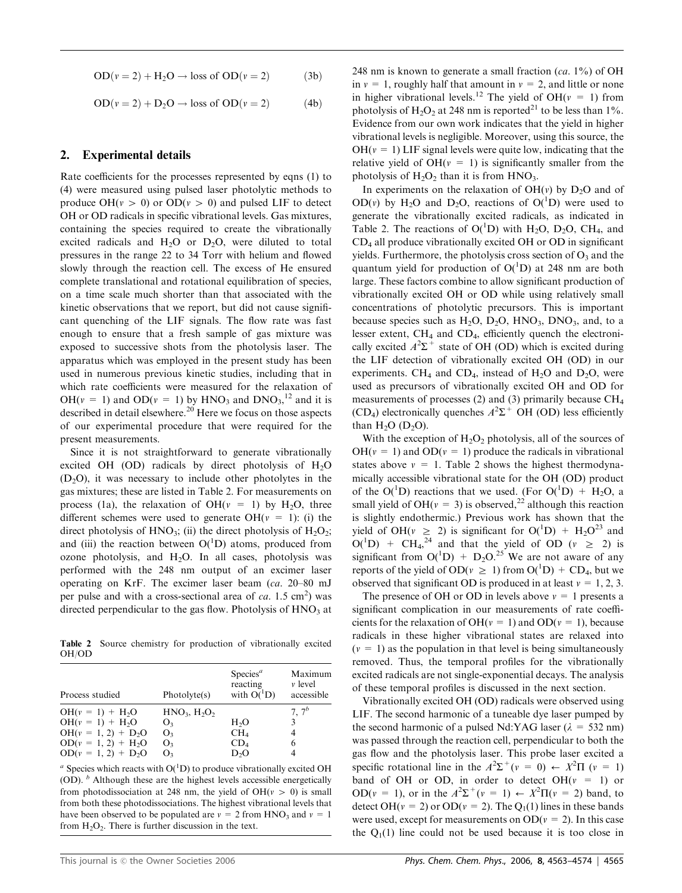$$
OD(v = 2) + H2O \rightarrow loss of OD(v = 2)
$$
 (3b)

$$
OD(v = 2) + D2O \rightarrow loss of OD(v = 2)
$$
 (4b)

## 2. Experimental details

Rate coefficients for the processes represented by eqns (1) to (4) were measured using pulsed laser photolytic methods to produce OH( $v > 0$ ) or OD( $v > 0$ ) and pulsed LIF to detect OH or OD radicals in specific vibrational levels. Gas mixtures, containing the species required to create the vibrationally excited radicals and  $H_2O$  or  $D_2O$ , were diluted to total pressures in the range 22 to 34 Torr with helium and flowed slowly through the reaction cell. The excess of He ensured complete translational and rotational equilibration of species, on a time scale much shorter than that associated with the kinetic observations that we report, but did not cause significant quenching of the LIF signals. The flow rate was fast enough to ensure that a fresh sample of gas mixture was exposed to successive shots from the photolysis laser. The apparatus which was employed in the present study has been used in numerous previous kinetic studies, including that in which rate coefficients were measured for the relaxation of  $OH(v = 1)$  and  $OD(v = 1)$  by  $HNO<sub>3</sub>$  and  $DNO<sub>3</sub>,<sup>12</sup>$  and it is described in detail elsewhere.<sup>20</sup> Here we focus on those aspects of our experimental procedure that were required for the present measurements.

Since it is not straightforward to generate vibrationally excited OH (OD) radicals by direct photolysis of  $H_2O$  $(D_2O)$ , it was necessary to include other photolytes in the gas mixtures; these are listed in Table 2. For measurements on process (1a), the relaxation of OH( $v = 1$ ) by H<sub>2</sub>O, three different schemes were used to generate  $OH(v = 1)$ : (i) the direct photolysis of  $HNO_3$ ; (ii) the direct photolysis of  $H_2O_2$ ; and (iii) the reaction between  $O(^{1}D)$  atoms, produced from ozone photolysis, and  $H_2O$ . In all cases, photolysis was performed with the 248 nm output of an excimer laser operating on KrF. The excimer laser beam (ca. 20–80 mJ per pulse and with a cross-sectional area of  $ca$ . 1.5 cm<sup>2</sup>) was directed perpendicular to the gas flow. Photolysis of  $HNO<sub>3</sub>$  at

Table 2 Source chemistry for production of vibrationally excited OH/OD

| Process studied       | Photo vte(s)   | $S$ pecies <sup><math>a</math></sup><br>reacting<br>with $O(^1D)$ | Maximum<br>$\nu$ level<br>accessible |
|-----------------------|----------------|-------------------------------------------------------------------|--------------------------------------|
| $OH(v = 1) + H2O$     | $HNO3, H2O2$   |                                                                   | $7.7^{b}$                            |
| $OH(v = 1) + H2O$     | O <sub>3</sub> | H <sub>2</sub> O                                                  | 3                                    |
| $OH(v = 1, 2) + D2O$  | O <sub>3</sub> | CH <sub>4</sub>                                                   | 4                                    |
| $OD(v = 1, 2) + H_2O$ | O <sub>3</sub> | CD <sub>4</sub>                                                   | 6                                    |
| $OD(v = 1, 2) + D_2O$ | O <sub>3</sub> | D <sub>2</sub> O                                                  |                                      |

 $\alpha$  Species which reacts with O( $\rm ^1D$ ) to produce vibrationally excited OH (OD).  $\bar{b}$  Although these are the highest levels accessible energetically from photodissociation at 248 nm, the yield of OH( $v > 0$ ) is small from both these photodissociations. The highest vibrational levels that have been observed to be populated are  $v = 2$  from HNO<sub>3</sub> and  $v = 1$ from  $H_2O_2$ . There is further discussion in the text.

248 nm is known to generate a small fraction  $(ca. 1\%)$  of OH in  $v = 1$ , roughly half that amount in  $v = 2$ , and little or none in higher vibrational levels.<sup>12</sup> The yield of OH( $v = 1$ ) from photolysis of  $H_2O_2$  at 248 nm is reported<sup>21</sup> to be less than 1%. Evidence from our own work indicates that the yield in higher vibrational levels is negligible. Moreover, using this source, the  $OH(v = 1)$  LIF signal levels were quite low, indicating that the relative yield of  $OH(v = 1)$  is significantly smaller from the photolysis of  $H_2O_2$  than it is from  $HNO_3$ .

In experiments on the relaxation of  $OH(v)$  by D<sub>2</sub>O and of OD(v) by H<sub>2</sub>O and D<sub>2</sub>O, reactions of O(<sup>1</sup>D) were used to generate the vibrationally excited radicals, as indicated in Table 2. The reactions of  $O(^1D)$  with H<sub>2</sub>O, D<sub>2</sub>O, CH<sub>4</sub>, and CD4 all produce vibrationally excited OH or OD in significant yields. Furthermore, the photolysis cross section of  $O_3$  and the quantum yield for production of  $O(^1D)$  at 248 nm are both large. These factors combine to allow significant production of vibrationally excited OH or OD while using relatively small concentrations of photolytic precursors. This is important because species such as  $H_2O$ ,  $D_2O$ ,  $HNO_3$ ,  $DNO_3$ , and, to a lesser extent,  $CH_4$  and  $CD_4$ , efficiently quench the electronically excited  $A^2\Sigma^+$  state of OH (OD) which is excited during the LIF detection of vibrationally excited OH (OD) in our experiments. CH<sub>4</sub> and CD<sub>4</sub>, instead of H<sub>2</sub>O and D<sub>2</sub>O, were used as precursors of vibrationally excited OH and OD for measurements of processes (2) and (3) primarily because  $CH<sub>4</sub>$  $(CD_4)$  electronically quenches  $A^2\Sigma^+$  OH (OD) less efficiently than  $H<sub>2</sub>O$  (D<sub>2</sub>O).

With the exception of  $H_2O_2$  photolysis, all of the sources of  $OH(v = 1)$  and  $OD(v = 1)$  produce the radicals in vibrational states above  $v = 1$ . Table 2 shows the highest thermodynamically accessible vibrational state for the OH (OD) product of the  $O(^{1}D)$  reactions that we used. (For  $O(^{1}D) + H<sub>2</sub>O$ , a small yield of OH( $v = 3$ ) is observed,<sup>22</sup> although this reaction is slightly endothermic.) Previous work has shown that the yield of OH( $v \ge 2$ ) is significant for O(<sup>1</sup>D) + H<sub>2</sub>O<sup>23</sup> and  $O(^{1}D)$  + CH<sub>4</sub>,<sup>24</sup> and that the yield of OD ( $v \ge 2$ ) is significant from  $O(^{1}D)$  +  $D_2O^{25}$  We are not aware of any reports of the yield of OD( $v \ge 1$ ) from O(<sup>1</sup>D) + CD<sub>4</sub>, but we observed that significant OD is produced in at least  $v = 1, 2, 3$ .

The presence of OH or OD in levels above  $v = 1$  presents a significant complication in our measurements of rate coefficients for the relaxation of OH( $v = 1$ ) and OD( $v = 1$ ), because radicals in these higher vibrational states are relaxed into  $(v = 1)$  as the population in that level is being simultaneously removed. Thus, the temporal profiles for the vibrationally excited radicals are not single-exponential decays. The analysis of these temporal profiles is discussed in the next section.

Vibrationally excited OH (OD) radicals were observed using LIF. The second harmonic of a tuneable dye laser pumped by the second harmonic of a pulsed Nd:YAG laser ( $\lambda = 532$  nm) was passed through the reaction cell, perpendicular to both the gas flow and the photolysis laser. This probe laser excited a specific rotational line in the  $A^2\Sigma^+(v = 0) \leftarrow X^2\Pi(v = 1)$ band of OH or OD, in order to detect OH $(v = 1)$  or OD( $v = 1$ ), or in the  $A^2\Sigma^+(v = 1) \leftarrow X^2\Pi(v = 2)$  band, to detect OH( $v = 2$ ) or OD( $v = 2$ ). The Q<sub>1</sub>(1) lines in these bands were used, except for measurements on  $OD(v = 2)$ . In this case the  $Q_1(1)$  line could not be used because it is too close in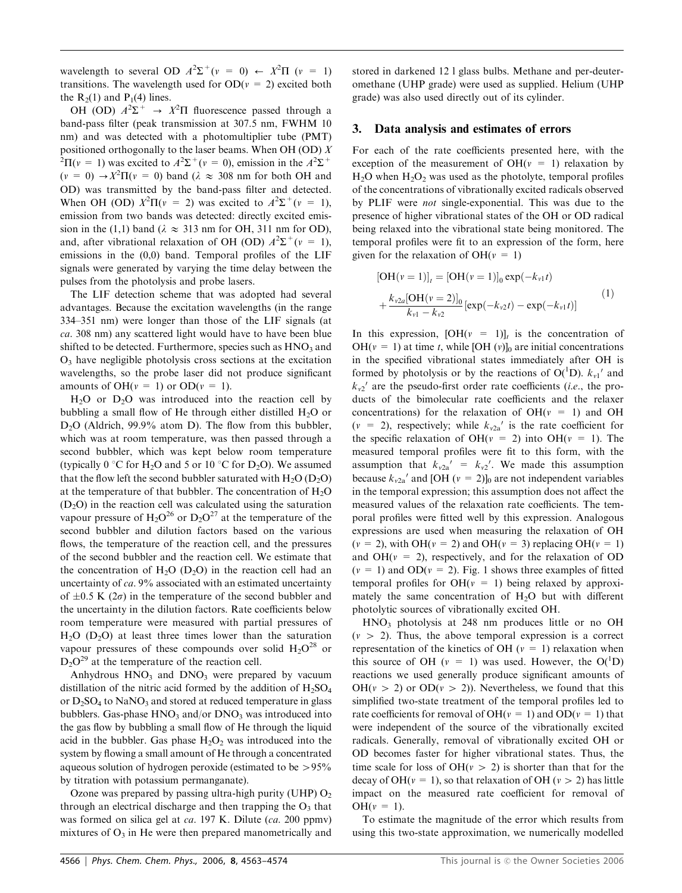wavelength to several OD  $A^2\Sigma^+(v = 0) \leftarrow X^2\Pi(v = 1)$ transitions. The wavelength used for  $OD(v = 2)$  excited both the  $R_2(1)$  and  $P_1(4)$  lines.

OH (OD)  $A^2\Sigma^+$   $\rightarrow$   $X^2\Pi$  fluorescence passed through a band-pass filter (peak transmission at 307.5 nm, FWHM 10 nm) and was detected with a photomultiplier tube (PMT) positioned orthogonally to the laser beams. When OH (OD)  $X$  ${}^{2}\Pi(v = 1)$  was excited to  $A^{2}\Sigma^{+}(v = 0)$ , emission in the  $A^{2}\Sigma^{+}$  $(v = 0) \rightarrow X^2 \Pi(v = 0)$  band  $(\lambda \approx 308 \text{ nm}$  for both OH and OD) was transmitted by the band-pass filter and detected. When OH (OD)  $X^2\Pi(v = 2)$  was excited to  $A^2\Sigma^+(v = 1)$ , emission from two bands was detected: directly excited emission in the (1,1) band ( $\lambda \approx 313$  nm for OH, 311 nm for OD), and, after vibrational relaxation of OH (OD)  $A^2\Sigma^+(v = 1)$ , emissions in the (0,0) band. Temporal profiles of the LIF signals were generated by varying the time delay between the pulses from the photolysis and probe lasers.

The LIF detection scheme that was adopted had several advantages. Because the excitation wavelengths (in the range 334–351 nm) were longer than those of the LIF signals (at ca. 308 nm) any scattered light would have to have been blue shifted to be detected. Furthermore, species such as  $HNO<sub>3</sub>$  and  $O<sub>3</sub>$  have negligible photolysis cross sections at the excitation wavelengths, so the probe laser did not produce significant amounts of OH( $v = 1$ ) or OD( $v = 1$ ).

 $H<sub>2</sub>O$  or  $D<sub>2</sub>O$  was introduced into the reaction cell by bubbling a small flow of He through either distilled  $H_2O$  or  $D<sub>2</sub>O$  (Aldrich, 99.9% atom D). The flow from this bubbler, which was at room temperature, was then passed through a second bubbler, which was kept below room temperature (typically  $0^{\circ}$ C for H<sub>2</sub>O and 5 or 10  $^{\circ}$ C for D<sub>2</sub>O). We assumed that the flow left the second bubbler saturated with  $H_2O (D_2O)$ at the temperature of that bubbler. The concentration of  $H_2O$  $(D<sub>2</sub>O)$  in the reaction cell was calculated using the saturation vapour pressure of  $H_2O^{26}$  or  $D_2O^{27}$  at the temperature of the second bubbler and dilution factors based on the various flows, the temperature of the reaction cell, and the pressures of the second bubbler and the reaction cell. We estimate that the concentration of  $H_2O$  (D<sub>2</sub>O) in the reaction cell had an uncertainty of ca. 9% associated with an estimated uncertainty of  $\pm 0.5$  K (2 $\sigma$ ) in the temperature of the second bubbler and the uncertainty in the dilution factors. Rate coefficients below room temperature were measured with partial pressures of  $H<sub>2</sub>O$  (D<sub>2</sub>O) at least three times lower than the saturation vapour pressures of these compounds over solid  $H_2O^{28}$  or  $D_2O^{29}$  at the temperature of the reaction cell.

Anhydrous  $HNO<sub>3</sub>$  and  $DNO<sub>3</sub>$  were prepared by vacuum distillation of the nitric acid formed by the addition of  $H_2SO_4$ or  $D_2SO_4$  to  $NaNO_3$  and stored at reduced temperature in glass bubblers. Gas-phase  $HNO<sub>3</sub>$  and/or  $DNO<sub>3</sub>$  was introduced into the gas flow by bubbling a small flow of He through the liquid acid in the bubbler. Gas phase  $H_2O_2$  was introduced into the system by flowing a small amount of He through a concentrated aqueous solution of hydrogen peroxide (estimated to be  $> 95\%$ by titration with potassium permanganate).

Ozone was prepared by passing ultra-high purity (UHP)  $O<sub>2</sub>$ through an electrical discharge and then trapping the  $O_3$  that was formed on silica gel at *ca*. 197 K. Dilute (*ca*. 200 ppmv) mixtures of  $O_3$  in He were then prepared manometrically and stored in darkened 12 l glass bulbs. Methane and per-deuteromethane (UHP grade) were used as supplied. Helium (UHP grade) was also used directly out of its cylinder.

#### 3. Data analysis and estimates of errors

For each of the rate coefficients presented here, with the exception of the measurement of  $OH(v = 1)$  relaxation by  $H_2O$  when  $H_2O_2$  was used as the photolyte, temporal profiles of the concentrations of vibrationally excited radicals observed by PLIF were not single-exponential. This was due to the presence of higher vibrational states of the OH or OD radical being relaxed into the vibrational state being monitored. The temporal profiles were fit to an expression of the form, here given for the relaxation of  $OH(v = 1)$ 

$$
[OH(v = 1)]_t = [OH(v = 1)]_0 \exp(-k_{v1}t)
$$
  
+  $\frac{k_{v2a}[OH(v = 2)]_0}{k_{v1} - k_{v2}} [\exp(-k_{v2}t) - \exp(-k_{v1}t)]$  (1)

In this expression,  $[OH(v = 1)]_t$  is the concentration of  $OH(v = 1)$  at time t, while [OH (v)]<sub>0</sub> are initial concentrations in the specified vibrational states immediately after OH is formed by photolysis or by the reactions of  $O(^1D)$ .  $k_{\nu 1}$  and  $k_{v2}$ ' are the pseudo-first order rate coefficients (*i.e.*, the products of the bimolecular rate coefficients and the relaxer concentrations) for the relaxation of  $OH(v = 1)$  and OH  $(v = 2)$ , respectively; while  $k_{v2a}$  is the rate coefficient for the specific relaxation of  $OH(v = 2)$  into  $OH(v = 1)$ . The measured temporal profiles were fit to this form, with the assumption that  $k_{v2a}$ <sup>'</sup> =  $k_{v2}$ <sup>'</sup>. We made this assumption because  $k_{v2a}$ <sup>'</sup> and [OH ( $v = 2$ )]<sub>0</sub> are not independent variables in the temporal expression; this assumption does not affect the measured values of the relaxation rate coefficients. The temporal profiles were fitted well by this expression. Analogous expressions are used when measuring the relaxation of OH  $(v = 2)$ , with OH( $v = 2$ ) and OH( $v = 3$ ) replacing OH( $v = 1$ ) and  $OH(v = 2)$ , respectively, and for the relaxation of OD  $(v = 1)$  and  $OD(v = 2)$ . Fig. 1 shows three examples of fitted temporal profiles for  $OH(v = 1)$  being relaxed by approximately the same concentration of  $H<sub>2</sub>O$  but with different photolytic sources of vibrationally excited OH.

 $HNO<sub>3</sub>$  photolysis at 248 nm produces little or no OH  $(v > 2)$ . Thus, the above temporal expression is a correct representation of the kinetics of OH ( $v = 1$ ) relaxation when this source of OH ( $v = 1$ ) was used. However, the O(<sup>1</sup>D) reactions we used generally produce significant amounts of  $OH(v > 2)$  or  $OD(v > 2)$ ). Nevertheless, we found that this simplified two-state treatment of the temporal profiles led to rate coefficients for removal of OH( $v = 1$ ) and OD( $v = 1$ ) that were independent of the source of the vibrationally excited radicals. Generally, removal of vibrationally excited OH or OD becomes faster for higher vibrational states. Thus, the time scale for loss of  $OH(v > 2)$  is shorter than that for the decay of OH( $v = 1$ ), so that relaxation of OH ( $v > 2$ ) has little impact on the measured rate coefficient for removal of  $OH(v = 1)$ .

To estimate the magnitude of the error which results from using this two-state approximation, we numerically modelled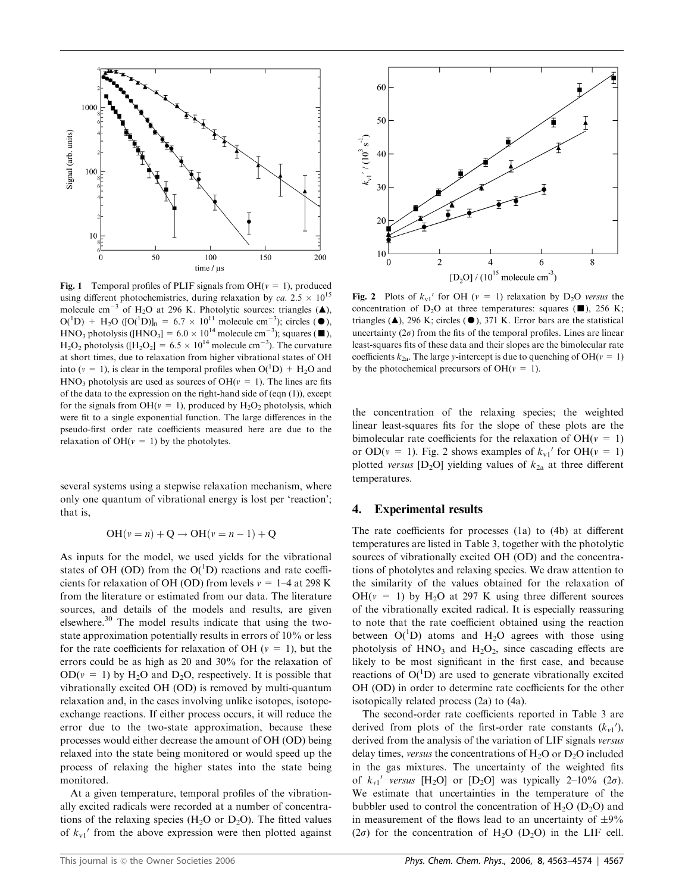

Fig. 1 Temporal profiles of PLIF signals from OH( $v = 1$ ), produced using different photochemistries, during relaxation by ca.  $2.5 \times 10^{15}$ molecule cm<sup>-3</sup> of H<sub>2</sub>O at 296 K. Photolytic sources: triangles ( $\triangle$ ),  $O(^1D)$  + H<sub>2</sub>O ([O(<sup>1</sup>D)]<sub>0</sub> = 6.7 × 10<sup>11</sup> molecule cm<sup>-3</sup>); circles ( $\bullet$ ), HNO<sub>3</sub> photolysis ([HNO<sub>3</sub>] =  $6.0 \times 10^{14}$  molecule cm<sup>-3</sup>); squares ( $\blacksquare$ ),  $H_2O_2$  photolysis ([ $H_2O_2$ ] = 6.5  $\times$  10<sup>14</sup> molecule cm<sup>-3</sup>). The curvature at short times, due to relaxation from higher vibrational states of OH into ( $v = 1$ ), is clear in the temporal profiles when  $O(^{1}D) + H<sub>2</sub>O$  and  $HNO<sub>3</sub>$  photolysis are used as sources of  $OH(v = 1)$ . The lines are fits of the data to the expression on the right-hand side of (eqn  $(1)$ ), except for the signals from OH( $v = 1$ ), produced by H<sub>2</sub>O<sub>2</sub> photolysis, which were fit to a single exponential function. The large differences in the pseudo-first order rate coefficients measured here are due to the relaxation of  $OH(v = 1)$  by the photolytes.

several systems using a stepwise relaxation mechanism, where only one quantum of vibrational energy is lost per 'reaction'; that is,

$$
OH(v = n) + Q \rightarrow OH(v = n - 1) + Q
$$

As inputs for the model, we used yields for the vibrational states of OH (OD) from the  $O(^1D)$  reactions and rate coefficients for relaxation of OH (OD) from levels  $v = 1-4$  at 298 K from the literature or estimated from our data. The literature sources, and details of the models and results, are given elsewhere.<sup>30</sup> The model results indicate that using the twostate approximation potentially results in errors of 10% or less for the rate coefficients for relaxation of OH ( $v = 1$ ), but the errors could be as high as 20 and 30% for the relaxation of  $OD(v = 1)$  by H<sub>2</sub>O and D<sub>2</sub>O, respectively. It is possible that vibrationally excited OH (OD) is removed by multi-quantum relaxation and, in the cases involving unlike isotopes, isotopeexchange reactions. If either process occurs, it will reduce the error due to the two-state approximation, because these processes would either decrease the amount of OH (OD) being relaxed into the state being monitored or would speed up the process of relaxing the higher states into the state being monitored.

At a given temperature, temporal profiles of the vibrationally excited radicals were recorded at a number of concentrations of the relaxing species ( $H_2O$  or  $D_2O$ ). The fitted values of  $k_{\rm vl}$  from the above expression were then plotted against



Fig. 2 Plots of  $k_{v1}$  for OH ( $v = 1$ ) relaxation by D<sub>2</sub>O versus the concentration of D<sub>2</sub>O at three temperatures: squares ( $\blacksquare$ ), 256 K; triangles ( $\triangle$ ), 296 K; circles ( $\triangle$ ), 371 K. Error bars are the statistical uncertainty  $(2\sigma)$  from the fits of the temporal profiles. Lines are linear least-squares fits of these data and their slopes are the bimolecular rate coefficients  $k_{2a}$ . The large y-intercept is due to quenching of OH( $v = 1$ ) by the photochemical precursors of OH( $v = 1$ ).

the concentration of the relaxing species; the weighted linear least-squares fits for the slope of these plots are the bimolecular rate coefficients for the relaxation of  $OH(v = 1)$ or OD( $v = 1$ ). Fig. 2 shows examples of  $k_{v1}$ <sup>'</sup> for OH( $v = 1$ ) plotted versus  $[D_2O]$  yielding values of  $k_{2a}$  at three different temperatures.

## 4. Experimental results

The rate coefficients for processes (1a) to (4b) at different temperatures are listed in Table 3, together with the photolytic sources of vibrationally excited OH (OD) and the concentrations of photolytes and relaxing species. We draw attention to the similarity of the values obtained for the relaxation of OH( $v = 1$ ) by H<sub>2</sub>O at 297 K using three different sources of the vibrationally excited radical. It is especially reassuring to note that the rate coefficient obtained using the reaction between  $O(^{1}D)$  atoms and H<sub>2</sub>O agrees with those using photolysis of  $HNO<sub>3</sub>$  and  $H<sub>2</sub>O<sub>2</sub>$ , since cascading effects are likely to be most significant in the first case, and because reactions of  $O(^{1}D)$  are used to generate vibrationally excited OH (OD) in order to determine rate coefficients for the other isotopically related process (2a) to (4a).

The second-order rate coefficients reported in Table 3 are derived from plots of the first-order rate constants  $(k_{\nu 1})$ , derived from the analysis of the variation of LIF signals versus delay times, versus the concentrations of  $H_2O$  or  $D_2O$  included in the gas mixtures. The uncertainty of the weighted fits of  $k_{\nu 1}$ ' versus [H<sub>2</sub>O] or [D<sub>2</sub>O] was typically 2-10% (2 $\sigma$ ). We estimate that uncertainties in the temperature of the bubbler used to control the concentration of  $H_2O$  (D<sub>2</sub>O) and in measurement of the flows lead to an uncertainty of  $\pm 9\%$ ( $2\sigma$ ) for the concentration of H<sub>2</sub>O (D<sub>2</sub>O) in the LIF cell.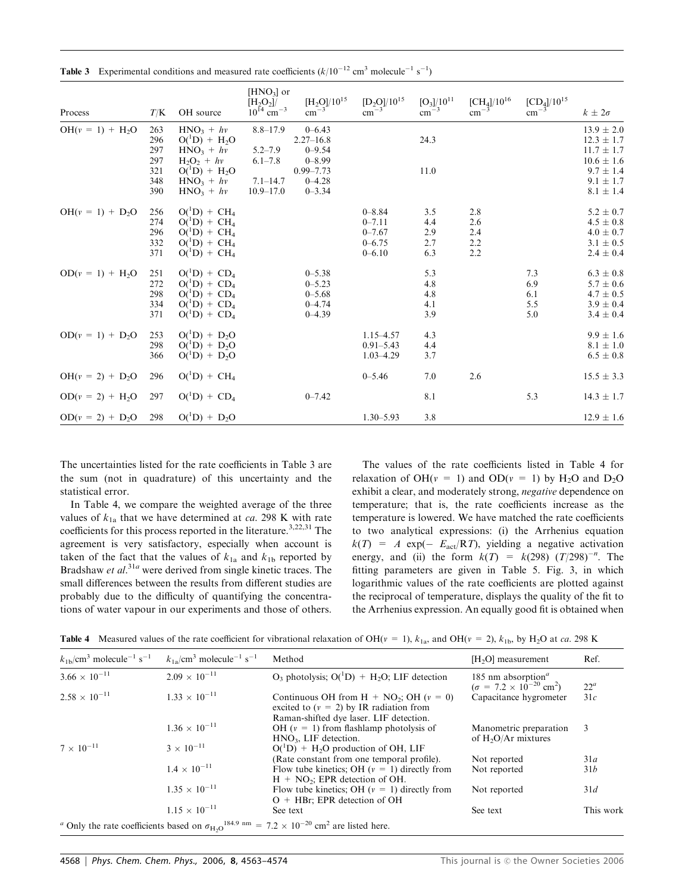| Process           | T/K                             | OH source                                                                                           | $[HNO3]$ or<br>[H <sub>2</sub> O <sub>2</sub> ]<br>$10^{14}$ cm <sup>-3</sup> | $[H_2O]/10^{15}$<br>$\rm cm^{-3}$                                        | $[D_2O]/10^{15}$<br>$cm^{-3}$                                      | $[O_3]/10^{11}$<br>$\rm cm^{-3}$ | $[CH_4]/10^{16}$<br>$\rm cm^{-3}$ | $[CD_4]/10^{15}$<br>$\rm cm^{-3}$ | $k \pm 2\sigma$                                                                       |
|-------------------|---------------------------------|-----------------------------------------------------------------------------------------------------|-------------------------------------------------------------------------------|--------------------------------------------------------------------------|--------------------------------------------------------------------|----------------------------------|-----------------------------------|-----------------------------------|---------------------------------------------------------------------------------------|
| $OH(v = 1) + H2O$ | 263<br>296<br>297<br>297<br>321 | $HNO_3 + hv$<br>$O(^1D) + H_2O$<br>$HNO3 + hy$<br>$H_2O_2 + hv$<br>$O(^1D) + H_2O$                  | $8.8 - 17.9$<br>$5.2 - 7.9$<br>$6.1 - 7.8$                                    | $0 - 6.43$<br>$2.27 - 16.8$<br>$0 - 9.54$<br>$0 - 8.99$<br>$0.99 - 7.73$ |                                                                    | 24.3<br>11.0                     |                                   |                                   | $13.9 \pm 2.0$<br>$12.3 \pm 1.7$<br>$11.7 \pm 1.7$<br>$10.6 \pm 1.6$<br>$9.7 \pm 1.4$ |
|                   | 348<br>390                      | $HNO3 + hy$<br>$HNO3 + hy$                                                                          | $7.1 - 14.7$<br>$10.9 - 17.0$                                                 | $0 - 4.28$<br>$0 - 3.34$                                                 |                                                                    |                                  |                                   |                                   | $9.1 \pm 1.7$<br>$8.1 \pm 1.4$                                                        |
| $OH(v = 1) + D2O$ | 256<br>274<br>296<br>332<br>371 | $O(^1D) + CH_4$<br>$O(^{1}D) + CH_{4}$<br>$O(^1D) + CH_4$<br>$O(^{1}D) + CH_{4}$<br>$O(^1D) + CH_4$ |                                                                               |                                                                          | $0 - 8.84$<br>$0 - 7.11$<br>$0 - 7.67$<br>$0 - 6.75$<br>$0 - 6.10$ | 3.5<br>4.4<br>2.9<br>2.7<br>6.3  | 2.8<br>2.6<br>2.4<br>2.2<br>2.2   |                                   | $5.2 \pm 0.7$<br>$4.5 \pm 0.8$<br>$4.0 \pm 0.7$<br>$3.1 \pm 0.5$<br>$2.4 \pm 0.4$     |
| $OD(v = 1) + H2O$ | 251<br>272<br>298<br>334<br>371 | $O(^1D) + CD_4$<br>$O(^1D) + CD_4$<br>$O(^1D) + CD_4$<br>$O(^1D) + CD_4$<br>$O(^1D) + CD_4$         |                                                                               | $0 - 5.38$<br>$0 - 5.23$<br>$0 - 5.68$<br>$0 - 4.74$<br>$0 - 4.39$       |                                                                    | 5.3<br>4.8<br>4.8<br>4.1<br>3.9  |                                   | 7.3<br>6.9<br>6.1<br>5.5<br>5.0   | $6.3 \pm 0.8$<br>$5.7 \pm 0.6$<br>$4.7 \pm 0.5$<br>$3.9 \pm 0.4$<br>$3.4 \pm 0.4$     |
| $OD(v = 1) + D2O$ | 253<br>298<br>366               | $O(^1D) + D_2O$<br>$O(^1D) + D_2O$<br>$O(^1D) + D_2O$                                               |                                                                               |                                                                          | $1.15 - 4.57$<br>$0.91 - 5.43$<br>$1.03 - 4.29$                    | 4.3<br>4.4<br>3.7                |                                   |                                   | $9.9 \pm 1.6$<br>$8.1 \pm 1.0$<br>$6.5 \pm 0.8$                                       |
| $OH(v = 2) + D2O$ | 296                             | $O(^1D) + CH_4$                                                                                     |                                                                               |                                                                          | $0 - 5.46$                                                         | 7.0                              | 2.6                               |                                   | $15.5 \pm 3.3$                                                                        |
| $OD(v = 2) + H2O$ | 297                             | $O(^{1}D) + CD_{4}$                                                                                 |                                                                               | $0 - 7.42$                                                               |                                                                    | 8.1                              |                                   | 5.3                               | $14.3 \pm 1.7$                                                                        |
| $OD(v = 2) + D2O$ | 298                             | $O(^1D) + D_2O$                                                                                     |                                                                               |                                                                          | $1.30 - 5.93$                                                      | 3.8                              |                                   |                                   | $12.9 \pm 1.6$                                                                        |

**Table 3** Experimental conditions and measured rate coefficients  $(k/10^{-12} \text{ cm}^3 \text{ molecule}^{-1} \text{ s}^{-1})$ 

The uncertainties listed for the rate coefficients in Table 3 are the sum (not in quadrature) of this uncertainty and the statistical error.

In Table 4, we compare the weighted average of the three values of  $k_{1a}$  that we have determined at *ca*. 298 K with rate coefficients for this process reported in the literature.<sup>3,22,31</sup> The agreement is very satisfactory, especially when account is taken of the fact that the values of  $k_{1a}$  and  $k_{1b}$  reported by Bradshaw et al.<sup>31a</sup> were derived from single kinetic traces. The small differences between the results from different studies are probably due to the difficulty of quantifying the concentrations of water vapour in our experiments and those of others.

The values of the rate coefficients listed in Table 4 for relaxation of OH( $v = 1$ ) and OD( $v = 1$ ) by H<sub>2</sub>O and D<sub>2</sub>O exhibit a clear, and moderately strong, negative dependence on temperature; that is, the rate coefficients increase as the temperature is lowered. We have matched the rate coefficients to two analytical expressions: (i) the Arrhenius equation  $k(T) = A \exp(-E_{\text{act}}/RT)$ , yielding a negative activation energy, and (ii) the form  $k(T) = k(298) (T/298)^{-n}$ . The fitting parameters are given in Table 5. Fig. 3, in which logarithmic values of the rate coefficients are plotted against the reciprocal of temperature, displays the quality of the fit to the Arrhenius expression. An equally good fit is obtained when

|  |  | <b>Table 4</b> Measured values of the rate coefficient for vibrational relaxation of OH( $v = 1$ ), $k_{1a}$ , and OH( $v = 2$ ), $k_{1b}$ , by H <sub>2</sub> O at ca. 298 K |  |  |  |
|--|--|-------------------------------------------------------------------------------------------------------------------------------------------------------------------------------|--|--|--|
|--|--|-------------------------------------------------------------------------------------------------------------------------------------------------------------------------------|--|--|--|

| $k_{1b}/\text{cm}^3$ molecule <sup>-1</sup> s <sup>-1</sup> | $k_{1a}/\text{cm}^3$ molecule <sup>-1</sup> s <sup>-1</sup> | Method                                                                                                                                  | $[H2O]$ measurement                                                                          | Ref.      |
|-------------------------------------------------------------|-------------------------------------------------------------|-----------------------------------------------------------------------------------------------------------------------------------------|----------------------------------------------------------------------------------------------|-----------|
| $3.66 \times 10^{-11}$                                      | $2.09 \times 10^{-11}$                                      | $O_3$ photolysis; $O(^1D)$ + H <sub>2</sub> O; LIF detection                                                                            | 185 nm absorption <sup><math>a</math></sup><br>$(\sigma = 7.2 \times 10^{-20} \text{ cm}^2)$ | $22^a$    |
| $2.58 \times 10^{-11}$                                      | $1.33 \times 10^{-11}$                                      | Continuous OH from H + $NO_2$ ; OH ( $v = 0$ )<br>excited to $(v = 2)$ by IR radiation from<br>Raman-shifted dye laser. LIF detection.  | Capacitance hygrometer                                                                       | 31c       |
|                                                             | $1.36 \times 10^{-11}$                                      | OH $(v = 1)$ from flashlamp photolysis of<br>$HNO3$ , LIF detection.                                                                    | Manometric preparation<br>of $H_2O/Ar$ mixtures                                              | 3         |
| $7 \times 10^{-11}$                                         | $3 \times 10^{-11}$                                         | $O(^1D)$ + H <sub>2</sub> O production of OH, LIF                                                                                       |                                                                                              |           |
|                                                             |                                                             | (Rate constant from one temporal profile).                                                                                              | Not reported                                                                                 | 31a       |
|                                                             | $1.4 \times 10^{-11}$                                       | Flow tube kinetics; OH $(v = 1)$ directly from<br>$H + NO2$ ; EPR detection of OH.                                                      | Not reported                                                                                 | 31b       |
|                                                             | $1.35 \times 10^{-11}$                                      | Flow tube kinetics; OH $(v = 1)$ directly from<br>$O + HBr$ ; EPR detection of OH                                                       | Not reported                                                                                 | 31d       |
|                                                             | $1.15 \times 10^{-11}$                                      | See text                                                                                                                                | See text                                                                                     | This work |
|                                                             |                                                             | <sup>a</sup> Only the rate coefficients based on $\sigma_{H_2O}^{184.9 \text{ nm}} = 7.2 \times 10^{-20} \text{ cm}^2$ are listed here. |                                                                                              |           |

4568 | Phys. Chem. Chem. Phys., 2006, 8, 4563-4574 This journal is  $\circ$  the Owner Societies 2006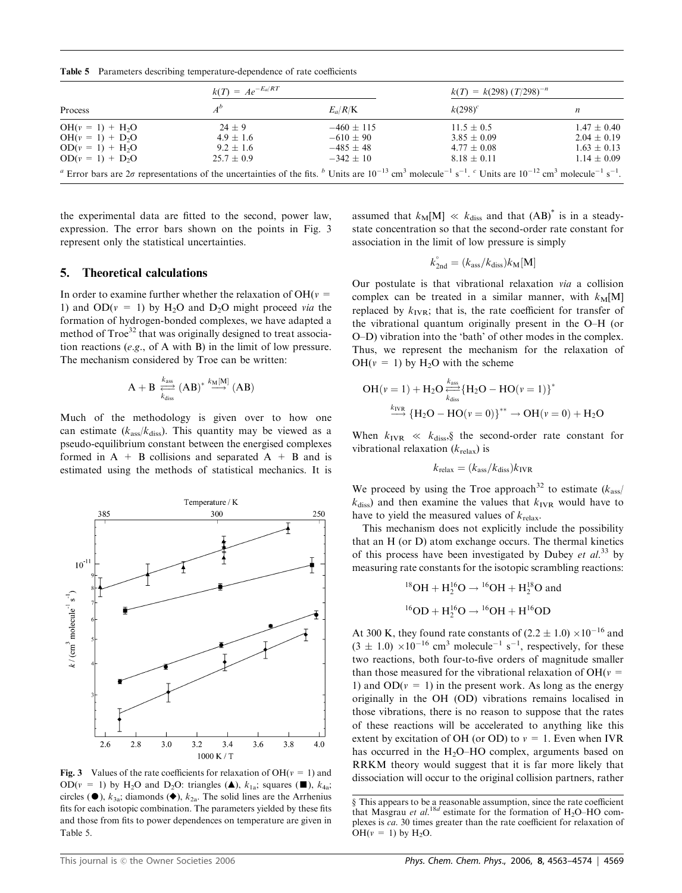Table 5 Parameters describing temperature-dependence of rate coefficients

|                    | $k(T) = Ae^{-E_a/RT}$ |              | $k(T) = k(298) (T/298)^{-n}$                                                                                                                                                                                                                                                  |                 |  |
|--------------------|-----------------------|--------------|-------------------------------------------------------------------------------------------------------------------------------------------------------------------------------------------------------------------------------------------------------------------------------|-----------------|--|
| Process            |                       | $E_a/R/K$    | $k(298)^c$                                                                                                                                                                                                                                                                    | n               |  |
| $OH(v = 1) + H2O$  | $24 + 9$              | $-460 + 115$ | $11.5 \pm 0.5$                                                                                                                                                                                                                                                                | $1.47 \pm 0.40$ |  |
| $OH(v = 1) + D_2O$ | $4.9 \pm 1.6$         | $-610 + 90$  | $3.85 \pm 0.09$                                                                                                                                                                                                                                                               | $2.04 \pm 0.19$ |  |
| $OD(v = 1) + H2O$  | $9.2 \pm 1.6$         | $-485 + 48$  | $4.77 \pm 0.08$                                                                                                                                                                                                                                                               | $1.63 \pm 0.13$ |  |
| $OD(v = 1) + D2O$  | $25.7 + 0.9$          | $-342 + 10$  | $8.18 \pm 0.11$                                                                                                                                                                                                                                                               | $1.14 \pm 0.09$ |  |
|                    |                       |              | <sup>a</sup> Error bars are $2\sigma$ representations of the uncertainties of the fits. <sup>b</sup> Units are $10^{-13}$ cm <sup>3</sup> molecule <sup>-1</sup> s <sup>-1</sup> . <sup>c</sup> Units are $10^{-12}$ cm <sup>3</sup> molecule <sup>-1</sup> s <sup>-1</sup> . |                 |  |

the experimental data are fitted to the second, power law, expression. The error bars shown on the points in Fig. 3 represent only the statistical uncertainties.

## 5. Theoretical calculations

In order to examine further whether the relaxation of  $OH(v =$ 1) and  $OD(v = 1)$  by  $H<sub>2</sub>O$  and  $D<sub>2</sub>O$  might proceed via the formation of hydrogen-bonded complexes, we have adapted a method of Troe<sup>32</sup> that was originally designed to treat association reactions (e.g., of A with B) in the limit of low pressure. The mechanism considered by Troe can be written:

$$
A + B \overset{k_{ass}}{\underset{k_{diss}}{\longleftarrow}} (AB)^* \overset{k_M[M]}{\longrightarrow} (AB)
$$

Much of the methodology is given over to how one can estimate  $(k<sub>ass</sub>/k<sub>diss</sub>)$ . This quantity may be viewed as a pseudo-equilibrium constant between the energised complexes formed in  $A + B$  collisions and separated  $A + B$  and is estimated using the methods of statistical mechanics. It is



**Fig. 3** Values of the rate coefficients for relaxation of OH( $v = 1$ ) and OD( $v = 1$ ) by H<sub>2</sub>O and D<sub>2</sub>O: triangles (A),  $k_{1a}$ ; squares ( $\blacksquare$ ),  $k_{4a}$ ; circles ( $\bullet$ ),  $k_{3a}$ ; diamonds ( $\bullet$ ),  $k_{2a}$ . The solid lines are the Arrhenius fits for each isotopic combination. The parameters yielded by these fits and those from fits to power dependences on temperature are given in Table 5.

assumed that  $k_M[M] \ll k_{diss}$  and that  $(AB)^*$  is in a steadystate concentration so that the second-order rate constant for association in the limit of low pressure is simply

$$
k_{\rm 2nd}^{\circ} = (k_{\rm ass}/k_{\rm diss})k_{\rm M}[\rm M]
$$

Our postulate is that vibrational relaxation via a collision complex can be treated in a similar manner, with  $k_M[M]$ replaced by  $k_{IVR}$ ; that is, the rate coefficient for transfer of the vibrational quantum originally present in the O–H (or O–D) vibration into the 'bath' of other modes in the complex. Thus, we represent the mechanism for the relaxation of  $OH(v = 1)$  by H<sub>2</sub>O with the scheme

$$
OH(v = 1) + H_2O \xleftarrow[k_{diss}^{k_{ass}} \{H_2O - HO(v = 1)\}^*
$$
  

$$
\xrightarrow[k_{diss}^{k_{VIR}} \{H_2O - HO(v = 0)\}^{**} \to OH(v = 0) + H_2O
$$

When  $k_{IVR} \ll k_{diss}$ , the second-order rate constant for vibrational relaxation  $(k_{\text{relax}})$  is

$$
k_{\rm relax} = (k_{\rm ass}/k_{\rm diss})k_{\rm IVR}
$$

We proceed by using the Troe approach<sup>32</sup> to estimate ( $k_{\text{ass}}$ )  $k_{\text{diss}}$ ) and then examine the values that  $k_{\text{IVR}}$  would have to have to yield the measured values of  $k_{\text{relax}}$ .

This mechanism does not explicitly include the possibility that an H (or D) atom exchange occurs. The thermal kinetics of this process have been investigated by Dubey et  $al.^{33}$  by measuring rate constants for the isotopic scrambling reactions:

<sup>18</sup>OH + H<sub>2</sub><sup>16</sup>O 
$$
\rightarrow
$$
 <sup>16</sup>OH + H<sub>2</sub><sup>18</sup>O and  
<sup>16</sup>OD + H<sub>2</sub><sup>16</sup>O  $\rightarrow$  <sup>16</sup>OH + H<sup>16</sup>OD

At 300 K, they found rate constants of  $(2.2 \pm 1.0) \times 10^{-16}$  and  $(3 \pm 1.0) \times 10^{-16}$  cm<sup>3</sup> molecule<sup>-1</sup> s<sup>-1</sup>, respectively, for these two reactions, both four-to-five orders of magnitude smaller than those measured for the vibrational relaxation of  $OH(v =$ 1) and  $OD(v = 1)$  in the present work. As long as the energy originally in the OH (OD) vibrations remains localised in those vibrations, there is no reason to suppose that the rates of these reactions will be accelerated to anything like this extent by excitation of OH (or OD) to  $v = 1$ . Even when IVR has occurred in the  $H<sub>2</sub>O-HO$  complex, arguments based on RRKM theory would suggest that it is far more likely that dissociation will occur to the original collision partners, rather

y This appears to be a reasonable assumption, since the rate coefficient that Masgrau et al.<sup>18d</sup> estimate for the formation of  $H_2O-HO$  complexes is ca. 30 times greater than the rate coefficient for relaxation of OH( $v = 1$ ) by H<sub>2</sub>O.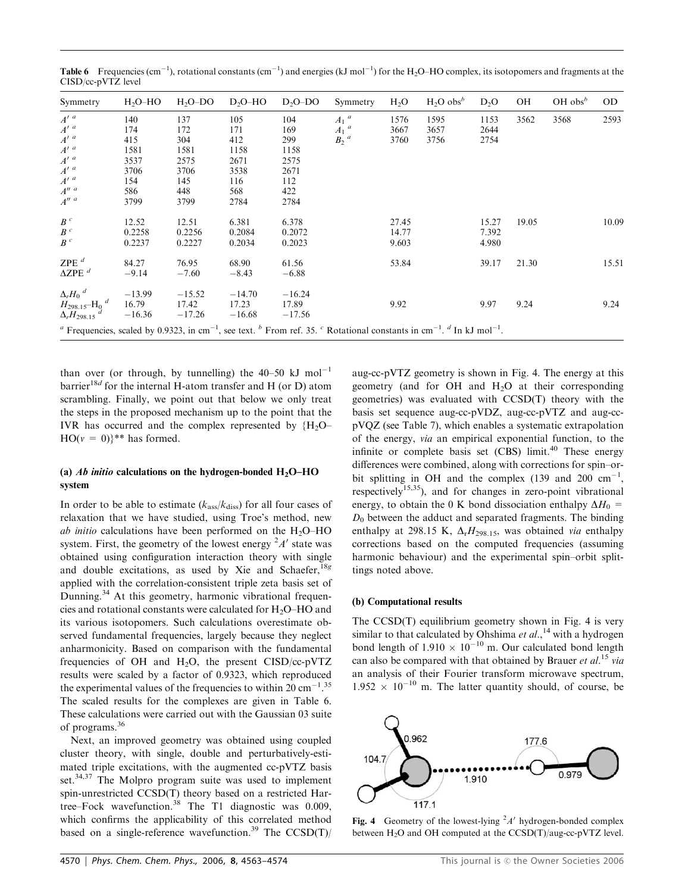| Symmetry                                                                                                                                                                                                                          | $H2O-HO$                                                        | $H2O-DO$                                                        | $D_2O-HO$                                                       | $D2O-DO$                                                        | Symmetry                                                      | H <sub>2</sub> O        | $H2O$ obs <sup>b</sup> | D <sub>2</sub> O        | OH    | OH $obs^b$ | OD.   |
|-----------------------------------------------------------------------------------------------------------------------------------------------------------------------------------------------------------------------------------|-----------------------------------------------------------------|-----------------------------------------------------------------|-----------------------------------------------------------------|-----------------------------------------------------------------|---------------------------------------------------------------|-------------------------|------------------------|-------------------------|-------|------------|-------|
| $\begin{array}{c} {A'}^a \\ {A'}^a \\ {A'}^a \end{array}$<br>$A^{\prime\ a}$<br>$A^{\prime\ a}$<br>$A^{\prime\ a}$<br>$A^{\prime\ a}$<br>$A''$ <sup><math>a</math></sup><br>$A''$ <sup><math>a</math></sup>                       | 140<br>174<br>415<br>1581<br>3537<br>3706<br>154<br>586<br>3799 | 137<br>172<br>304<br>1581<br>2575<br>3706<br>145<br>448<br>3799 | 105<br>171<br>412<br>1158<br>2671<br>3538<br>116<br>568<br>2784 | 104<br>169<br>299<br>1158<br>2575<br>2671<br>112<br>422<br>2784 | $A_1$ <sup>a</sup><br>$A_1$ <sup>a</sup><br>$B2$ <sup>a</sup> | 1576<br>3667<br>3760    | 1595<br>3657<br>3756   | 1153<br>2644<br>2754    | 3562  | 3568       | 2593  |
| $\frac{B}{B}^c$<br>$B^{\ c}$                                                                                                                                                                                                      | 12.52<br>0.2258<br>0.2237                                       | 12.51<br>0.2256<br>0.2227                                       | 6.381<br>0.2084<br>0.2034                                       | 6.378<br>0.2072<br>0.2023                                       |                                                               | 27.45<br>14.77<br>9.603 |                        | 15.27<br>7.392<br>4.980 | 19.05 |            | 10.09 |
| ZPE $d$<br>$\Delta ZPE$ <sup>d</sup>                                                                                                                                                                                              | 84.27<br>$-9.14$                                                | 76.95<br>$-7.60$                                                | 68.90<br>$-8.43$                                                | 61.56<br>$-6.88$                                                |                                                               | 53.84                   |                        | 39.17                   | 21.30 |            | 15.51 |
| $\frac{\Delta_r H_0}{H_{298.15}-H_0}$ <sup>d</sup><br>$\frac{\Delta_r H_{298.15}}{\Delta_r H_{298.15}}$                                                                                                                           | $-13.99$<br>16.79<br>-16.36                                     | $-15.52$<br>17.42<br>$-17.26$                                   | $-14.70$<br>17.23<br>$-16.68$                                   | $-16.24$<br>17.89<br>$-17.56$                                   |                                                               | 9.92                    |                        | 9.97                    | 9.24  |            | 9.24  |
| <sup><i>a</i></sup> Frequencies, scaled by 0.9323, in cm <sup>-1</sup> , see text. <sup><i>b</i></sup> From ref. 35. <sup><i>c</i></sup> Rotational constants in cm <sup>-1</sup> . <sup><i>d</i></sup> In kJ mol <sup>-1</sup> . |                                                                 |                                                                 |                                                                 |                                                                 |                                                               |                         |                        |                         |       |            |       |

**Table 6** Frequencies (cm<sup>-1</sup>), rotational constants (cm<sup>-1</sup>) and energies (kJ mol<sup>-1</sup>) for the H<sub>2</sub>O–HO complex, its isotopomers and fragments at the CISD/cc-pVTZ level

than over (or through, by tunnelling) the  $40-50$  kJ mol<sup>-1</sup> barrier<sup>18d</sup> for the internal H-atom transfer and H (or D) atom scrambling. Finally, we point out that below we only treat the steps in the proposed mechanism up to the point that the IVR has occurred and the complex represented by  ${H<sub>2</sub>O<sub>-</sub>}$  $HO(v = 0)$ <sup>\*\*</sup> has formed.

### (a) Ab initio calculations on the hydrogen-bonded  $H_2O-HO$ system

In order to be able to estimate  $(k<sub>ass</sub>/k<sub>diss</sub>)$  for all four cases of relaxation that we have studied, using Troe's method, new ab initio calculations have been performed on the  $H_2O$ –HO system. First, the geometry of the lowest energy  $A'$  state was obtained using configuration interaction theory with single and double excitations, as used by Xie and Schaefer,<sup>18g</sup> applied with the correlation-consistent triple zeta basis set of Dunning.<sup>34</sup> At this geometry, harmonic vibrational frequencies and rotational constants were calculated for H2O–HO and its various isotopomers. Such calculations overestimate observed fundamental frequencies, largely because they neglect anharmonicity. Based on comparison with the fundamental frequencies of OH and  $H_2O$ , the present CISD/cc-pVTZ results were scaled by a factor of 0.9323, which reproduced the experimental values of the frequencies to within 20 cm<sup> $-1.35$ </sup> The scaled results for the complexes are given in Table 6. These calculations were carried out with the Gaussian 03 suite of programs.36

Next, an improved geometry was obtained using coupled cluster theory, with single, double and perturbatively-estimated triple excitations, with the augmented cc-pVTZ basis set.<sup>34,37</sup> The Molpro program suite was used to implement spin-unrestricted CCSD(T) theory based on a restricted Hartree–Fock wavefunction.<sup>38</sup> The T1 diagnostic was 0.009, which confirms the applicability of this correlated method based on a single-reference wavefunction.<sup>39</sup> The  $CCSD(T)$ / aug-cc-pVTZ geometry is shown in Fig. 4. The energy at this geometry (and for OH and  $H<sub>2</sub>O$  at their corresponding geometries) was evaluated with CCSD(T) theory with the basis set sequence aug-cc-pVDZ, aug-cc-pVTZ and aug-ccpVQZ (see Table 7), which enables a systematic extrapolation of the energy, via an empirical exponential function, to the infinite or complete basis set (CBS) limit.<sup>40</sup> These energy differences were combined, along with corrections for spin–orbit splitting in OH and the complex (139 and 200  $cm^{-1}$ , respectively<sup>15,35</sup>), and for changes in zero-point vibrational energy, to obtain the 0 K bond dissociation enthalpy  $\Delta H_0$  =  $D_0$  between the adduct and separated fragments. The binding enthalpy at 298.15 K,  $\Delta_r H_{298.15}$ , was obtained *via* enthalpy corrections based on the computed frequencies (assuming harmonic behaviour) and the experimental spin–orbit splittings noted above.

### (b) Computational results

The CCSD(T) equilibrium geometry shown in Fig. 4 is very similar to that calculated by Ohshima et  $al$ , <sup>14</sup> with a hydrogen bond length of  $1.910 \times 10^{-10}$  m. Our calculated bond length can also be compared with that obtained by Brauer et  $al$ <sup>15</sup> via an analysis of their Fourier transform microwave spectrum,  $1.952 \times 10^{-10}$  m. The latter quantity should, of course, be



Fig. 4 Geometry of the lowest-lying  $^2A'$  hydrogen-bonded complex between  $H_2O$  and OH computed at the  $CCSD(T)/aug-cc-pVTZ$  level.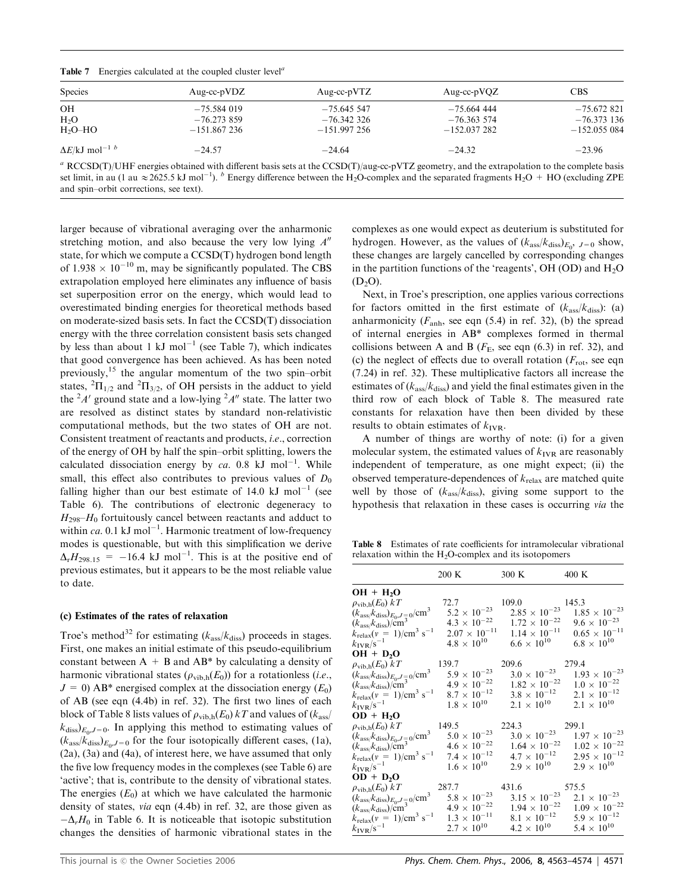|  |  | Table 7 Energies calculated at the coupled cluster level <sup>a</sup> |  |  |  |  |  |
|--|--|-----------------------------------------------------------------------|--|--|--|--|--|
|--|--|-----------------------------------------------------------------------|--|--|--|--|--|

| <b>Species</b>                               | Aug-cc- $pVDZ$ | Aug-cc- $pVTZ$ | Aug-cc- $pVQZ$ | <b>CBS</b>    |
|----------------------------------------------|----------------|----------------|----------------|---------------|
| OН                                           | $-75.584019$   | $-75.645.547$  | $-75.664$ 444  | $-75.672821$  |
| $H_2O$                                       | $-76.273859$   | $-76.342.326$  | $-76.363574$   | $-76.373$ 136 |
| $H2O-HO$                                     | $-151.867236$  | $-151.997256$  | $-152.037282$  | $-152.055084$ |
| $\Delta E/kJ$ mol <sup>-1</sup> <sup>b</sup> | $-24.57$       | $-24.64$       | $-24.32$       | $-23.96$      |

<sup>a</sup> RCCSD(T)/UHF energies obtained with different basis sets at the CCSD(T)/aug-cc-pVTZ geometry, and the extrapolation to the complete basis set limit, in au (1 au  $\approx$  2625.5 kJ mol<sup>-1</sup>). <sup>b</sup> Energy difference between the H<sub>2</sub>O-complex and the separated fragments H<sub>2</sub>O + HO (excluding ZPE and spin–orbit corrections, see text).

larger because of vibrational averaging over the anharmonic stretching motion, and also because the very low lying  $A<sup>n</sup>$ state, for which we compute a CCSD(T) hydrogen bond length of 1.938  $\times$  10<sup>-10</sup> m, may be significantly populated. The CBS extrapolation employed here eliminates any influence of basis set superposition error on the energy, which would lead to overestimated binding energies for theoretical methods based on moderate-sized basis sets. In fact the CCSD(T) dissociation energy with the three correlation consistent basis sets changed by less than about 1 kJ mol<sup>-1</sup> (see Table 7), which indicates that good convergence has been achieved. As has been noted previously,<sup>15</sup> the angular momentum of the two spin–orbit states,  ${}^{2} \Pi_{1/2}$  and  ${}^{2} \Pi_{3/2}$ , of OH persists in the adduct to yield the  ${}^{2}A'$  ground state and a low-lying  ${}^{2}A''$  state. The latter two are resolved as distinct states by standard non-relativistic computational methods, but the two states of OH are not. Consistent treatment of reactants and products, i.e., correction of the energy of OH by half the spin–orbit splitting, lowers the calculated dissociation energy by ca. 0.8 kJ mol<sup>-1</sup>. While small, this effect also contributes to previous values of  $D_0$ falling higher than our best estimate of 14.0 kJ mol<sup>-1</sup> (see Table 6). The contributions of electronic degeneracy to  $H_{298}$ – $H_0$  fortuitously cancel between reactants and adduct to within  $ca$ . 0.1 kJ mol<sup>-1</sup>. Harmonic treatment of low-frequency modes is questionable, but with this simplification we derive  $\Delta_{r}H_{298.15} = -16.4$  kJ mol<sup>-1</sup>. This is at the positive end of previous estimates, but it appears to be the most reliable value to date.

#### (c) Estimates of the rates of relaxation

Troe's method<sup>32</sup> for estimating ( $k_{\text{ass}}/k_{\text{diss}}$ ) proceeds in stages. First, one makes an initial estimate of this pseudo-equilibrium constant between  $A + B$  and  $AB^*$  by calculating a density of harmonic vibrational states ( $\rho_{\text{vib,h}}(E_0)$ ) for a rotationless (*i.e.*,  $J = 0$ ) AB\* energised complex at the dissociation energy  $(E_0)$ of AB (see eqn (4.4b) in ref. 32). The first two lines of each block of Table 8 lists values of  $\rho_{\text{vib,h}}(E_0) kT$  and values of  $(k_{\text{ass}}/kT)$  $k_{\text{diss}}|_{E_0, J=0}$ . In applying this method to estimating values of  $(k<sub>ass</sub>/k<sub>diss</sub>)<sub>E<sub>0</sub>, J=0</sub>$  for the four isotopically different cases, (1a), (2a), (3a) and (4a), of interest here, we have assumed that only the five low frequency modes in the complexes (see Table 6) are 'active'; that is, contribute to the density of vibrational states. The energies  $(E_0)$  at which we have calculated the harmonic density of states, via eqn (4.4b) in ref. 32, are those given as  $-\Delta_r H_0$  in Table 6. It is noticeable that isotopic substitution changes the densities of harmonic vibrational states in the complexes as one would expect as deuterium is substituted for hydrogen. However, as the values of  $(k_{\rm ass}/k_{\rm diss})_{E_0}$ ,  $_{J=0}$  show, these changes are largely cancelled by corresponding changes in the partition functions of the 'reagents', OH (OD) and  $H_2O$  $(D<sub>2</sub>O)$ .

Next, in Troe's prescription, one applies various corrections for factors omitted in the first estimate of  $(k<sub>ass</sub>/k<sub>diss</sub>)$ : (a) anharmonicity  $(F_{anh}$ , see eqn (5.4) in ref. 32), (b) the spread of internal energies in AB\* complexes formed in thermal collisions between A and B ( $F<sub>E</sub>$ , see eqn (6.3) in ref. 32), and (c) the neglect of effects due to overall rotation  $(F_{\text{rot}},$  see eqn (7.24) in ref. 32). These multiplicative factors all increase the estimates of  $(k<sub>ass</sub>/k<sub>diss</sub>)$  and yield the final estimates given in the third row of each block of Table 8. The measured rate constants for relaxation have then been divided by these results to obtain estimates of  $k_{\text{IVR}}$ .

A number of things are worthy of note: (i) for a given molecular system, the estimated values of  $k_{\text{IVR}}$  are reasonably independent of temperature, as one might expect; (ii) the observed temperature-dependences of  $k_{\text{relax}}$  are matched quite well by those of  $(k_{ass}/k_{diss})$ , giving some support to the hypothesis that relaxation in these cases is occurring via the

Table 8 Estimates of rate coefficients for intramolecular vibrational relaxation within the  $H_2O$ -complex and its isotopomers

|                                                                                                           | 200 K                    | 300 K                  | $400\text{ K}$           |
|-----------------------------------------------------------------------------------------------------------|--------------------------|------------------------|--------------------------|
| $OH + H2O$                                                                                                |                          |                        |                          |
| $\rho_{\text{vib,h}}(E_0) kT$                                                                             | 72.7                     | 109.0                  | 145.3                    |
| $(k_{\text{ass}}/k_{\text{diss}})_{E_0, J=0}$ /cm <sup>3</sup>                                            | $5.2 \times 10^{-23}$    | $2.85 \times 10^{-23}$ | $1.85\,\times\,10^{-23}$ |
| $(kass/kdiss)/cm2$                                                                                        | $4.3 \times 10^{-22}$    | $1.72 \times 10^{-22}$ | $9.6 \times 10^{-23}$    |
| $k_{\text{relax}}(v = 1)/\text{cm}^3 \text{ s}^{-1}$                                                      | $2.07\,\times\,10^{-11}$ | $1.14 \times 10^{-11}$ | $0.65\,\times\,10^{-11}$ |
| $k_{\text{IVR}}/s^{-1}$                                                                                   | $4.8 \times 10^{10}$     | $6.6 \times 10^{10}$   | $6.8 \times 10^{10}$     |
| $OH + D2O$                                                                                                |                          |                        |                          |
| $\rho_{\text{vib,h}}(E_0) kT$                                                                             | 139.7                    | 209.6                  | 279.4                    |
| $(k_{\rm ass}/k_{\rm diss})_{E_0,J\equiv 0}/{\rm cm}^3$ $(k_{\rm ass}/k_{\rm diss})/{\rm cm}^3$           | $5.9 \times 10^{-23}$    | $3.0 \times 10^{-23}$  | $1.93 \times 10^{-23}$   |
|                                                                                                           | $4.9 \times 10^{-22}$    | $1.82 \times 10^{-22}$ | $1.0\,\times\,10^{-22}$  |
| $k_{\text{relax}}(v = 1)/\text{cm}^3 \text{ s}^{-1}$                                                      | $8.7\,\times\,10^{-12}$  | $3.8 \times 10^{-12}$  | $2.1\,\times\,10^{-12}$  |
| $k_{\rm IVR}/\rm s^{-1}$                                                                                  | $1.8\,\times\,10^{10}$   | $2.1 \times 10^{10}$   | $2.1 \times 10^{10}$     |
| $OD + H2O$                                                                                                |                          |                        |                          |
| $\rho_{\rm vib,h}(E_0)~kT$                                                                                | 149.5                    | 224.3                  | 299.1                    |
| $(k_{\rm ass}/k_{\rm diss})_{E_0,J=0}$ /cm $^3$ $(k_{\rm ass}/k_{\rm diss})/{\rm cm}^3$                   | $5.0 \times 10^{-23}$    | $3.0 \times 10^{-23}$  | $1.97\times10^{-23}$     |
|                                                                                                           | $4.6 \times 10^{-22}$    | $1.64 \times 10^{-22}$ | $1.02 \times 10^{-22}$   |
| $k_{\text{relax}}(v = 1)/\text{cm}^3 \text{ s}^{-1}$                                                      | $7.4\,\times\,10^{-12}$  | $4.7 \times 10^{-12}$  | $2.95\,\times\,10^{-12}$ |
| $k_{\text{IVR}}/s^{-1}$                                                                                   | $1.6 \times 10^{10}$     | $2.9 \times 10^{10}$   | $2.9 \times 10^{10}$     |
| $OD + D2O$                                                                                                |                          |                        |                          |
| $\rho_{\text{vib,h}}(E_0) kT$                                                                             | 287.7                    | 431.6                  | 575.5                    |
|                                                                                                           | $5.8 \times 10^{-23}$    | $3.15 \times 10^{-23}$ | $2.1 \times 10^{-23}$    |
| $(k_{\rm ass}/k_{\rm diss})_{E_0,J=0}$ /cm <sup>3</sup><br>( $k_{\rm ass}/k_{\rm diss}$ )/cm <sup>3</sup> | $4.9 \times 10^{-22}$    | $1.94 \times 10^{-22}$ | $1.09\,\times\,10^{-22}$ |
| $k_{\text{relax}}(v = 1)/\text{cm}^3 \text{ s}^{-1}$                                                      | $1.3 \times 10^{-11}$    | $8.1 \times 10^{-12}$  | $5.9 \times 10^{-12}$    |
| $k_{\text{IVR}}/s^{-1}$                                                                                   | $2.7 \times 10^{10}$     | $4.2 \times 10^{10}$   | $5.4 \times 10^{10}$     |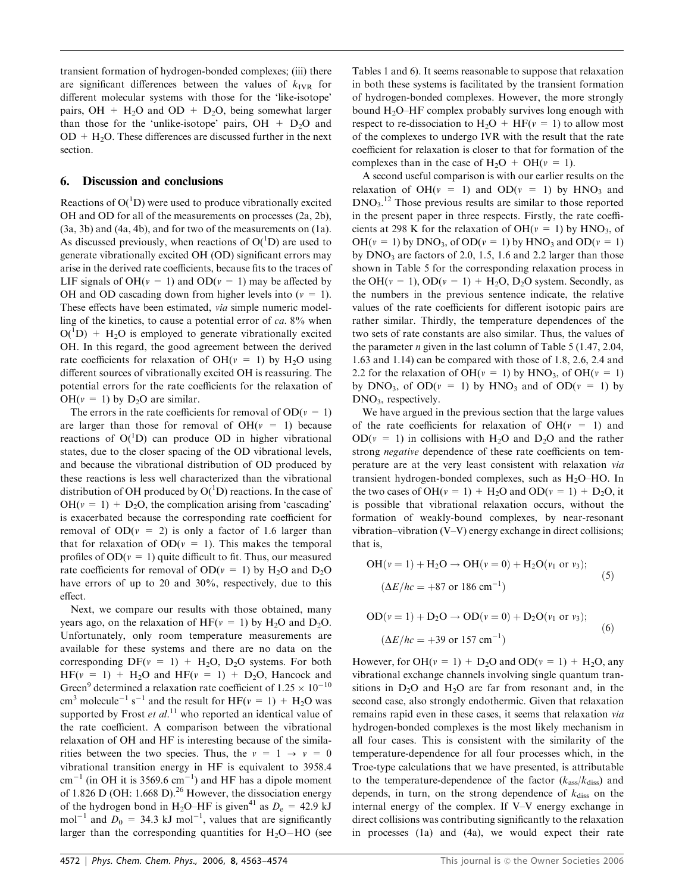transient formation of hydrogen-bonded complexes; (iii) there are significant differences between the values of  $k_{\text{IVR}}$  for different molecular systems with those for the 'like-isotope' pairs,  $OH + H<sub>2</sub>O$  and  $OD + D<sub>2</sub>O$ , being somewhat larger than those for the 'unlike-isotope' pairs,  $OH + D<sub>2</sub>O$  and  $OD + H<sub>2</sub>O$ . These differences are discussed further in the next section.

## 6. Discussion and conclusions

Reactions of  $O(^{1}D)$  were used to produce vibrationally excited OH and OD for all of the measurements on processes (2a, 2b), (3a, 3b) and (4a, 4b), and for two of the measurements on (1a). As discussed previously, when reactions of  $O(^1D)$  are used to generate vibrationally excited OH (OD) significant errors may arise in the derived rate coefficients, because fits to the traces of LIF signals of OH( $v = 1$ ) and OD( $v = 1$ ) may be affected by OH and OD cascading down from higher levels into  $(v = 1)$ . These effects have been estimated, via simple numeric modelling of the kinetics, to cause a potential error of ca. 8% when  $O(^1D)$  + H<sub>2</sub>O is employed to generate vibrationally excited OH. In this regard, the good agreement between the derived rate coefficients for relaxation of OH( $v = 1$ ) by H<sub>2</sub>O using different sources of vibrationally excited OH is reassuring. The potential errors for the rate coefficients for the relaxation of  $OH(v = 1)$  by D<sub>2</sub>O are similar.

The errors in the rate coefficients for removal of  $OD(v = 1)$ are larger than those for removal of  $OH(v = 1)$  because reactions of  $O(^{1}D)$  can produce OD in higher vibrational states, due to the closer spacing of the OD vibrational levels, and because the vibrational distribution of OD produced by these reactions is less well characterized than the vibrational distribution of OH produced by  $O(^1D)$  reactions. In the case of  $OH(v = 1) + D<sub>2</sub>O$ , the complication arising from 'cascading' is exacerbated because the corresponding rate coefficient for removal of  $OD(v = 2)$  is only a factor of 1.6 larger than that for relaxation of  $OD(v = 1)$ . This makes the temporal profiles of  $OD(v = 1)$  quite difficult to fit. Thus, our measured rate coefficients for removal of  $OD(v = 1)$  by H<sub>2</sub>O and D<sub>2</sub>O have errors of up to 20 and 30%, respectively, due to this effect.

Next, we compare our results with those obtained, many years ago, on the relaxation of  $HF(v = 1)$  by  $H_2O$  and  $D_2O$ . Unfortunately, only room temperature measurements are available for these systems and there are no data on the corresponding  $DF(v = 1) + H_2O$ ,  $D_2O$  systems. For both  $HF(v = 1) + H<sub>2</sub>O$  and  $HF(v = 1) + D<sub>2</sub>O$ , Hancock and Green<sup>9</sup> determined a relaxation rate coefficient of  $1.25 \times 10^{-10}$ cm<sup>3</sup> molecule<sup>-1</sup> s<sup>-1</sup> and the result for HF( $v = 1$ ) + H<sub>2</sub>O was supported by Frost et  $al$ .<sup>11</sup> who reported an identical value of the rate coefficient. A comparison between the vibrational relaxation of OH and HF is interesting because of the similarities between the two species. Thus, the  $v = 1 \rightarrow v = 0$ vibrational transition energy in HF is equivalent to 3958.4  $\text{cm}^{-1}$  (in OH it is 3569.6 cm<sup>-1</sup>) and HF has a dipole moment of 1.826 D (OH: 1.668 D).<sup>26</sup> However, the dissociation energy of the hydrogen bond in H<sub>2</sub>O–HF is given<sup>41</sup> as  $D_e = 42.9$  kJ mol<sup>-1</sup> and  $D_0 = 34.3 \text{ kJ mol}^{-1}$ , values that are significantly larger than the corresponding quantities for  $H_2O-HO$  (see

Tables 1 and 6). It seems reasonable to suppose that relaxation in both these systems is facilitated by the transient formation of hydrogen-bonded complexes. However, the more strongly bound  $H_2O$ –HF complex probably survives long enough with respect to re-dissociation to  $H_2O + HF(v = 1)$  to allow most of the complexes to undergo IVR with the result that the rate coefficient for relaxation is closer to that for formation of the complexes than in the case of  $H_2O + OH(v = 1)$ .

A second useful comparison is with our earlier results on the relaxation of  $OH(v = 1)$  and  $OD(v = 1)$  by  $HNO<sub>3</sub>$  and DNO3. <sup>12</sup> Those previous results are similar to those reported in the present paper in three respects. Firstly, the rate coefficients at 298 K for the relaxation of OH( $v = 1$ ) by HNO<sub>3</sub>, of  $OH(v = 1)$  by DNO<sub>3</sub>, of OD( $v = 1$ ) by HNO<sub>3</sub> and OD( $v = 1$ ) by  $DNO<sub>3</sub>$  are factors of 2.0, 1.5, 1.6 and 2.2 larger than those shown in Table 5 for the corresponding relaxation process in the OH( $v = 1$ ), OD( $v = 1$ ) + H<sub>2</sub>O, D<sub>2</sub>O system. Secondly, as the numbers in the previous sentence indicate, the relative values of the rate coefficients for different isotopic pairs are rather similar. Thirdly, the temperature dependences of the two sets of rate constants are also similar. Thus, the values of the parameter *n* given in the last column of Table 5 (1.47, 2.04, 1.63 and 1.14) can be compared with those of 1.8, 2.6, 2.4 and 2.2 for the relaxation of OH( $v = 1$ ) by HNO<sub>3</sub>, of OH( $v = 1$ ) by DNO<sub>3</sub>, of OD( $v = 1$ ) by HNO<sub>3</sub> and of OD( $v = 1$ ) by DNO<sub>3</sub>, respectively.

We have argued in the previous section that the large values of the rate coefficients for relaxation of  $OH(v = 1)$  and  $OD(v = 1)$  in collisions with H<sub>2</sub>O and D<sub>2</sub>O and the rather strong negative dependence of these rate coefficients on temperature are at the very least consistent with relaxation via transient hydrogen-bonded complexes, such as  $H_2O$ –HO. In the two cases of OH( $v = 1$ ) + H<sub>2</sub>O and OD( $v = 1$ ) + D<sub>2</sub>O, it is possible that vibrational relaxation occurs, without the formation of weakly-bound complexes, by near-resonant vibration–vibration (V–V) energy exchange in direct collisions; that is,

$$
OH(v = 1) + H_2O \rightarrow OH(v = 0) + H_2O(v_1 \text{ or } v_3);
$$
  
\n
$$
(\Delta E/hc = +87 \text{ or } 186 \text{ cm}^{-1})
$$
\n(5)

$$
OD(v = 1) + D_2O \rightarrow OD(v = 0) + D_2O(v_1 \text{ or } v_3);
$$
  

$$
(\Delta E/hc = +39 \text{ or } 157 \text{ cm}^{-1})
$$
 (6)

However, for OH( $v = 1$ ) + D<sub>2</sub>O and OD( $v = 1$ ) + H<sub>2</sub>O, any vibrational exchange channels involving single quantum transitions in  $D_2O$  and  $H_2O$  are far from resonant and, in the second case, also strongly endothermic. Given that relaxation remains rapid even in these cases, it seems that relaxation via hydrogen-bonded complexes is the most likely mechanism in all four cases. This is consistent with the similarity of the temperature-dependence for all four processes which, in the Troe-type calculations that we have presented, is attributable to the temperature-dependence of the factor  $(k<sub>ass</sub>/k<sub>diss</sub>)$  and depends, in turn, on the strong dependence of  $k_{\text{diss}}$  on the internal energy of the complex. If V–V energy exchange in direct collisions was contributing significantly to the relaxation in processes (1a) and (4a), we would expect their rate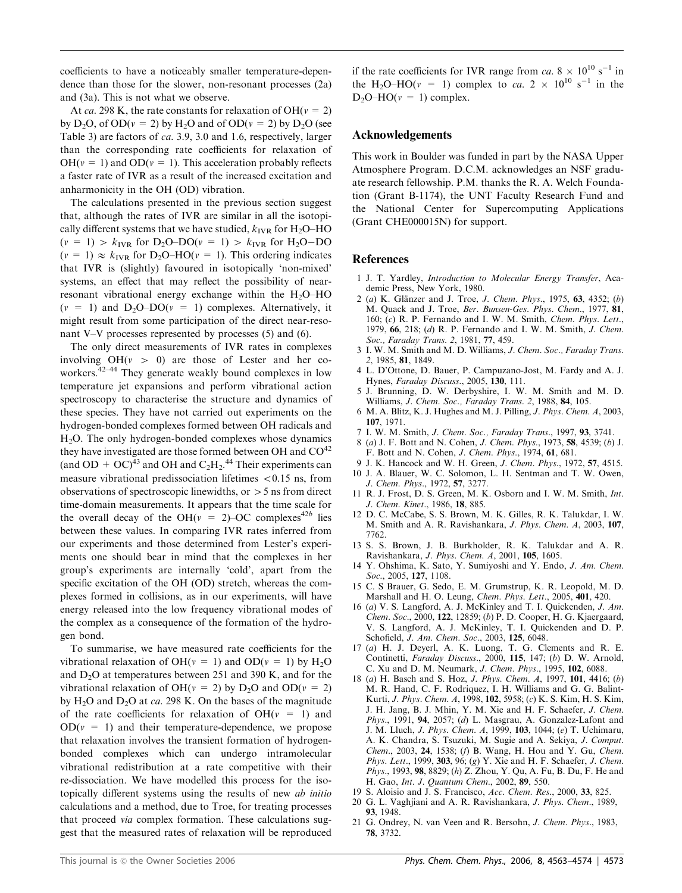coefficients to have a noticeably smaller temperature-dependence than those for the slower, non-resonant processes (2a) and (3a). This is not what we observe.

At ca. 298 K, the rate constants for relaxation of OH( $v = 2$ ) by  $D_2O$ , of  $OD(v = 2)$  by  $H_2O$  and of  $OD(v = 2)$  by  $D_2O$  (see Table 3) are factors of ca. 3.9, 3.0 and 1.6, respectively, larger than the corresponding rate coefficients for relaxation of  $OH(v = 1)$  and  $OD(v = 1)$ . This acceleration probably reflects a faster rate of IVR as a result of the increased excitation and anharmonicity in the OH (OD) vibration.

The calculations presented in the previous section suggest that, although the rates of IVR are similar in all the isotopically different systems that we have studied,  $k_{\text{IVR}}$  for H<sub>2</sub>O–HO  $(v = 1) > k_{IVR}$  for D<sub>2</sub>O–DO( $v = 1$ )  $> k_{IVR}$  for H<sub>2</sub>O–DO  $(v = 1) \approx k_{IVR}$  for D<sub>2</sub>O–HO( $v = 1$ ). This ordering indicates that IVR is (slightly) favoured in isotopically 'non-mixed' systems, an effect that may reflect the possibility of nearresonant vibrational energy exchange within the  $H_2O-HO$  $(v = 1)$  and  $D_2O-DO(v = 1)$  complexes. Alternatively, it might result from some participation of the direct near-resonant V–V processes represented by processes (5) and (6).

The only direct measurements of IVR rates in complexes involving  $OH(v > 0)$  are those of Lester and her coworkers.42–44 They generate weakly bound complexes in low temperature jet expansions and perform vibrational action spectroscopy to characterise the structure and dynamics of these species. They have not carried out experiments on the hydrogen-bonded complexes formed between OH radicals and H2O. The only hydrogen-bonded complexes whose dynamics they have investigated are those formed between OH and  $CO<sup>42</sup>$ (and  $OD + OC$ )<sup>43</sup> and OH and  $C_2H_2$ <sup>44</sup> Their experiments can measure vibrational predissociation lifetimes  $< 0.15$  ns, from observations of spectroscopic linewidths, or  $>$  5 ns from direct time-domain measurements. It appears that the time scale for the overall decay of the OH( $v = 2$ )–OC complexes<sup>42b</sup> lies between these values. In comparing IVR rates inferred from our experiments and those determined from Lester's experiments one should bear in mind that the complexes in her group's experiments are internally 'cold', apart from the specific excitation of the OH (OD) stretch, whereas the complexes formed in collisions, as in our experiments, will have energy released into the low frequency vibrational modes of the complex as a consequence of the formation of the hydrogen bond.

To summarise, we have measured rate coefficients for the vibrational relaxation of OH( $v = 1$ ) and OD( $v = 1$ ) by H<sub>2</sub>O and  $D_2O$  at temperatures between 251 and 390 K, and for the vibrational relaxation of OH( $v = 2$ ) by D<sub>2</sub>O and OD( $v = 2$ ) by  $H_2O$  and  $D_2O$  at *ca.* 298 K. On the bases of the magnitude of the rate coefficients for relaxation of  $OH(v = 1)$  and  $OD(v = 1)$  and their temperature-dependence, we propose that relaxation involves the transient formation of hydrogenbonded complexes which can undergo intramolecular vibrational redistribution at a rate competitive with their re-dissociation. We have modelled this process for the isotopically different systems using the results of new ab initio calculations and a method, due to Troe, for treating processes that proceed via complex formation. These calculations suggest that the measured rates of relaxation will be reproduced

if the rate coefficients for IVR range from  $ca. 8 \times 10^{10} \text{ s}^{-1}$  in the H<sub>2</sub>O–HO( $v = 1$ ) complex to *ca*. 2  $\times$  10<sup>10</sup> s<sup>-1</sup> in the  $D_2O-HO(v = 1)$  complex.

#### Acknowledgements

This work in Boulder was funded in part by the NASA Upper Atmosphere Program. D.C.M. acknowledges an NSF graduate research fellowship. P.M. thanks the R. A. Welch Foundation (Grant B-1174), the UNT Faculty Research Fund and the National Center for Supercomputing Applications (Grant CHE000015N) for support.

#### **References**

- 1 J. T. Yardley, Introduction to Molecular Energy Transfer, Academic Press, New York, 1980.
- 2 (a) K. Glänzer and J. Troe, J. Chem. Phys., 1975, 63, 4352; (b) M. Quack and J. Troe, Ber. Bunsen-Ges. Phys. Chem., 1977, 81, 160; (c) R. P. Fernando and I. W. M. Smith, Chem. Phys. Lett., 1979, 66, 218; (d) R. P. Fernando and I. W. M. Smith, J. Chem. Soc., Faraday Trans. 2, 1981, 77, 459.
- 3 I. W. M. Smith and M. D. Williams, J. Chem. Soc., Faraday Trans. 2, 1985, 81, 1849.
- 4 L. D'Ottone, D. Bauer, P. Campuzano-Jost, M. Fardy and A. J. Hynes, Faraday Discuss., 2005, 130, 111.
- 5 J. Brunning, D. W. Derbyshire, I. W. M. Smith and M. D. Williams, J. Chem. Soc., Faraday Trans. 2, 1988, 84, 105.
- 6 M. A. Blitz, K. J. Hughes and M. J. Pilling, J. Phys. Chem. A, 2003, 107, 1971.
- 7 I. W. M. Smith, J. Chem. Soc., Faraday Trans., 1997, 93, 3741.
- 8 (a) J. F. Bott and N. Cohen, J. Chem. Phys., 1973, 58, 4539; (b) J. F. Bott and N. Cohen, J. Chem. Phys., 1974, 61, 681.
- 9 J. K. Hancock and W. H. Green, J. Chem. Phys., 1972, 57, 4515. 10 J. A. Blauer, W. C. Solomon, L. H. Sentman and T. W. Owen,
- J. Chem. Phys., 1972, 57, 3277.
- 11 R. J. Frost, D. S. Green, M. K. Osborn and I. W. M. Smith, Int. J. Chem. Kinet., 1986, 18, 885.
- 12 D. C. McCabe, S. S. Brown, M. K. Gilles, R. K. Talukdar, I. W. M. Smith and A. R. Ravishankara, J. Phys. Chem. A, 2003, 107, 7762.
- 13 S. S. Brown, J. B. Burkholder, R. K. Talukdar and A. R. Ravishankara, J. Phys. Chem. A, 2001, 105, 1605.
- 14 Y. Ohshima, K. Sato, Y. Sumiyoshi and Y. Endo, J. Am. Chem. Soc., 2005, 127, 1108.
- 15 C. S Brauer, G. Sedo, E. M. Grumstrup, K. R. Leopold, M. D. Marshall and H. O. Leung, Chem. Phys. Lett., 2005, 401, 420.
- 16 (a) V. S. Langford, A. J. McKinley and T. I. Quickenden, J. Am. Chem. Soc., 2000, 122, 12859; (b) P. D. Cooper, H. G. Kjaergaard, V. S. Langford, A. J. McKinley, T. I. Quickenden and D. P. Schofield, J. Am. Chem. Soc., 2003, 125, 6048.
- 17 (a) H. J. Deyerl, A. K. Luong, T. G. Clements and R. E. Continetti, Faraday Discuss., 2000, 115, 147; (b) D. W. Arnold, C. Xu and D. M. Neumark, J. Chem. Phys., 1995, 102, 6088.
- 18 (a) H. Basch and S. Hoz, J. Phys. Chem. A, 1997, 101, 4416; (b) M. R. Hand, C. F. Rodriquez, I. H. Williams and G. G. Balint-Kurti, J. Phys. Chem. A, 1998, 102, 5958; (c) K. S. Kim, H. S. Kim, J. H. Jang, B. J. Mhin, Y. M. Xie and H. F. Schaefer, J. Chem. Phys., 1991, 94, 2057; (d) L. Masgrau, A. Gonzalez-Lafont and J. M. Lluch, J. Phys. Chem. A, 1999, 103, 1044; (e) T. Uchimaru, A. K. Chandra, S. Tsuzuki, M. Sugie and A. Sekiya, J. Comput. Chem., 2003, 24, 1538; (f) B. Wang, H. Hou and Y. Gu, Chem. Phys. Lett., 1999, 303, 96; (g) Y. Xie and H. F. Schaefer, J. Chem. Phys., 1993, 98, 8829; (h) Z. Zhou, Y. Qu, A. Fu, B. Du, F. He and H. Gao, Int. J. Quantum Chem., 2002, 89, 550.
- 19 S. Aloisio and J. S. Francisco, Acc. Chem. Res., 2000, 33, 825.
- 20 G. L. Vaghjiani and A. R. Ravishankara, J. Phys. Chem., 1989, 93, 1948.
- 21 G. Ondrey, N. van Veen and R. Bersohn, J. Chem. Phys., 1983, 78, 3732.